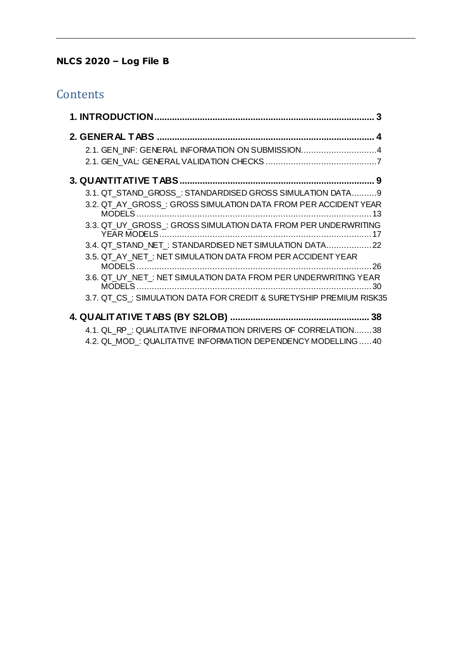## **NLCS 2020 – Log File B**

## **Contents**

| 2.1. GEN_INF: GENERAL INFORMATION ON SUBMISSION4                   |  |
|--------------------------------------------------------------------|--|
|                                                                    |  |
|                                                                    |  |
| 3.1. QT_STAND_GROSS_: STANDARDISED GROSS SIMULATION DATA9          |  |
| 3.2. QT AY GROSS: GROSS SIMULATION DATA FROM PER ACCIDENT YEAR     |  |
| 3.3. QT UY GROSS: GROSS SIMULATION DATA FROM PER UNDERWRITING      |  |
| 3.4. QT_STAND_NET_: STANDARDISED NET SIMULATION DATA 22            |  |
| 3.5. QT AY NET: NET SIMULATION DATA FROM PER ACCIDENT YEAR         |  |
| 3.6. QT_UY_NET_: NET SIMULATION DATA FROM PER UNDERWRITING YEAR    |  |
| 3.7. QT CS: SIMULATION DATA FOR CREDIT & SURETYSHIP PREMIUM RISK35 |  |
|                                                                    |  |
| 4.1. QL RP: QUALITATIVE INFORMATION DRIVERS OF CORRELATION38       |  |

[4.2. QL\\_MOD\\_: QUALITATIVE INFORMATION DEPENDENCY MODELLING](#page-39-0) .....40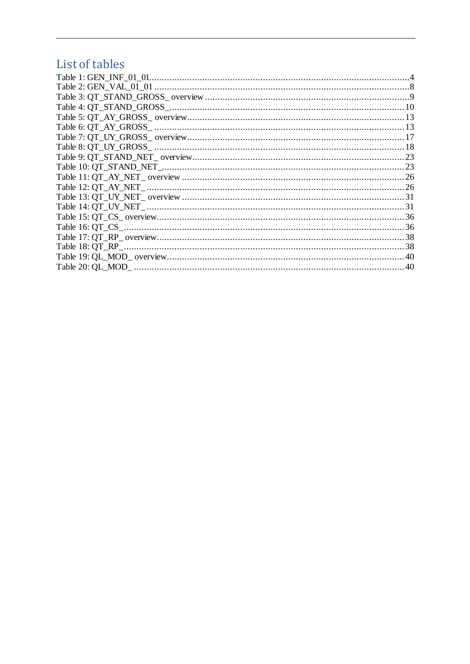# List of tables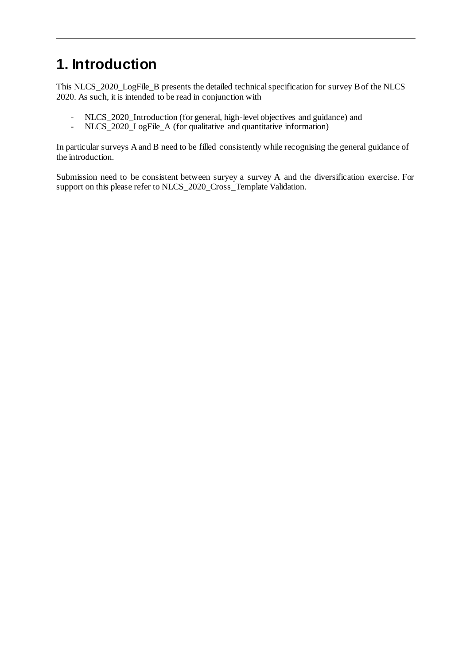# <span id="page-2-0"></span>**1. Introduction**

This NLCS\_2020\_LogFile\_B presents the detailed technical specification for survey B of the NLCS 2020. As such, it is intended to be read in conjunction with

- NLCS\_2020\_Introduction (for general, high-level objectives and guidance) and<br>- NLCS\_2020\_LogFile A (for qualitative and quantitative information)
- NLCS\_2020\_LogFile\_A (for qualitative and quantitative information)

In particular surveys A and B need to be filled consistently while recognising the general guidance of the introduction.

Submission need to be consistent between suryey a survey A and the diversification exercise. For support on this please refer to NLCS\_2020\_Cross\_Template Validation.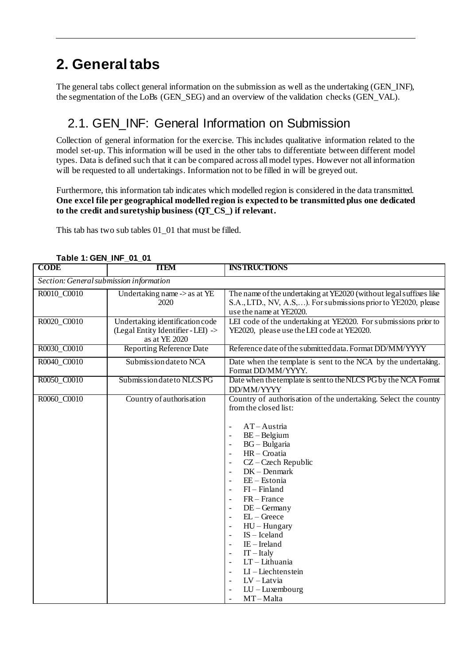# <span id="page-3-0"></span>**2. General tabs**

<span id="page-3-1"></span>The general tabs collect general information on the submission as well as the undertaking (GEN\_INF), the segmentation of the LoBs (GEN\_SEG) and an overview of the validation checks (GEN\_VAL).

## 2.1. GEN INF: General Information on Submission

Collection of general information for the exercise. This includes qualitative information related to the model set-up. This information will be used in the other tabs to differentiate between different model types. Data is defined such that it can be compared across all model types. However not all information will be requested to all undertakings. Information not to be filled in will be greyed out.

Furthermore, this information tab indicates which modelled region is considered in the data transmitted. **One excel file per geographical modelled region is expected to be transmitted plus one dedicated to the credit and suretyship business (QT\_CS\_) if relevant.**

This tab has two sub tables 01\_01 that must be filled.

| $1800$ $1.9$ $11$ $11$ $11$ $10$<br><b>CODE</b> | <b>TTEM</b>                                                                            | <b>INSTRUCTIONS</b>                                                                                                                                                                                                                                                                                                                                                                                                                                                                                                                                                                                                                                                                       |
|-------------------------------------------------|----------------------------------------------------------------------------------------|-------------------------------------------------------------------------------------------------------------------------------------------------------------------------------------------------------------------------------------------------------------------------------------------------------------------------------------------------------------------------------------------------------------------------------------------------------------------------------------------------------------------------------------------------------------------------------------------------------------------------------------------------------------------------------------------|
| Section: General submission information         |                                                                                        |                                                                                                                                                                                                                                                                                                                                                                                                                                                                                                                                                                                                                                                                                           |
| R0010_C0010                                     | Undertaking name -> as at YE<br>2020                                                   | The name of the undertaking at YE2020 (without legal suffixes like<br>S.A., LTD., NV, A.S,). For submissions prior to YE2020, please<br>use the name at YE2020.                                                                                                                                                                                                                                                                                                                                                                                                                                                                                                                           |
| R0020_C0010                                     | Undertaking identification code<br>(Legal Entity Identifier - LEI) -><br>as at YE 2020 | LEI code of the undertaking at YE2020. For submissions prior to<br>YE2020, please use the LEI code at YE2020.                                                                                                                                                                                                                                                                                                                                                                                                                                                                                                                                                                             |
| R0030_C0010                                     | <b>Reporting Reference Date</b>                                                        | Reference date of the submitted data. Format DD/MM/YYYY                                                                                                                                                                                                                                                                                                                                                                                                                                                                                                                                                                                                                                   |
| R0040_C0010                                     | Submission date to NCA                                                                 | Date when the template is sent to the NCA by the undertaking.<br>Format DD/MM/YYYY.                                                                                                                                                                                                                                                                                                                                                                                                                                                                                                                                                                                                       |
| R0050_C0010                                     | Submission date to NLCS PG                                                             | Date when the template is sent to the NLCS PG by the NCA Format<br>DD/MM/YYYY                                                                                                                                                                                                                                                                                                                                                                                                                                                                                                                                                                                                             |
| R0060_C0010                                     | Country of authorisation                                                               | Country of authorisation of the undertaking. Select the country<br>from the closed list:<br>$AT - Austria$<br>$\overline{\phantom{a}}$<br>$BE - Belgium$<br>BG - Bulgaria<br>$\overline{\phantom{a}}$<br>HR-Croatia<br>$\blacksquare$<br>CZ-Czech Republic<br>$\overline{\phantom{a}}$<br>$DK - Denmark$<br>$\blacksquare$<br>$EE - Estonia$<br>$\overline{\phantom{a}}$<br>$FI - Finland$<br>$\overline{\phantom{a}}$<br>$FR - France$<br>$\blacksquare$<br>$DE - Germany$<br>$\overline{\phantom{a}}$<br>$EL - Greece$<br>$HU - Hungary$<br>$IS - I$ celand<br>$IE$ – Ireland<br>$IT - Italy$<br>LT - Lithuania<br>$LI$ – Liechtenstein<br>LV-Latvia<br>$LU$ – Luxembourg<br>$MT-Malta$ |

<span id="page-3-2"></span>**Table 1: GEN\_INF\_01\_01**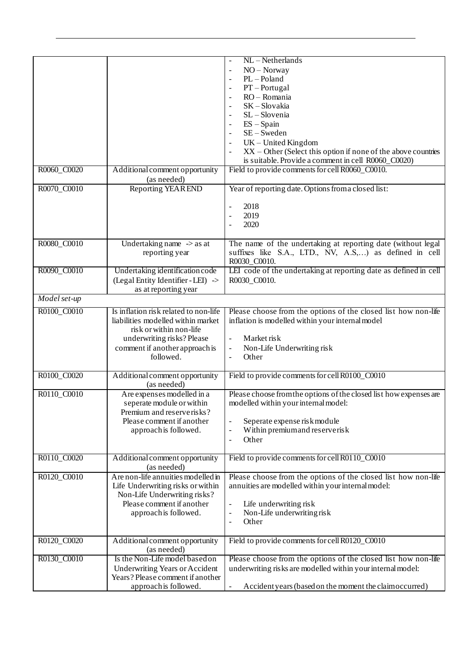|              |                                                                                                                                                                                     | NL-Netherlands<br>NO - Norway<br>$PL - Poland$<br>$\overline{\phantom{a}}$<br>$PT - Portugal$<br>RO-Romania<br>SK-Slovakia<br>SL-Slovenia<br>$ES - Spain$<br>$SE - Sweden$<br>$UK$ – United Kingdom<br>XX - Other (Select this option if none of the above countries<br>is suitable. Provide a comment in cell R0060_C0020) |
|--------------|-------------------------------------------------------------------------------------------------------------------------------------------------------------------------------------|-----------------------------------------------------------------------------------------------------------------------------------------------------------------------------------------------------------------------------------------------------------------------------------------------------------------------------|
| R0060_C0020  | Additional comment opportunity<br>(as needed)                                                                                                                                       | Field to provide comments for cell R0060_C0010.                                                                                                                                                                                                                                                                             |
| R0070_C0010  | Reporting YEAR END                                                                                                                                                                  | Year of reporting date. Options from a closed list:<br>2018<br>2019<br>2020                                                                                                                                                                                                                                                 |
| R0080_C0010  | Undertaking name $\rightarrow$ as at<br>reporting year                                                                                                                              | The name of the undertaking at reporting date (without legal<br>suffixes like S.A., LTD., NV, A.S,) as defined in cell<br>R0030 C0010.                                                                                                                                                                                      |
| R0090_C0010  | Undertaking identification code<br>(Legal Entity Identifier - LEI) -><br>as at reporting year                                                                                       | LEI code of the undertaking at reporting date as defined in cell<br>R0030_C0010.                                                                                                                                                                                                                                            |
| Model set-up |                                                                                                                                                                                     |                                                                                                                                                                                                                                                                                                                             |
| R0100_C0010  | Is inflation risk related to non-life<br>liabilities modelled within market<br>risk or within non-life<br>underwriting risks? Please<br>comment if another approach is<br>followed. | Please choose from the options of the closed list how non-life<br>inflation is modelled within your internal model<br>Market risk<br>$\blacksquare$<br>Non-Life Underwriting risk<br>$\equiv$<br>Other<br>$\overline{\phantom{a}}$                                                                                          |
| R0100_C0020  | Additional comment opportunity<br>(as needed)                                                                                                                                       | Field to provide comments for cell R0100_C0010                                                                                                                                                                                                                                                                              |
| R0110_C0010  | Are expenses modelled in a<br>seperate module or within<br>Premium and reserverisks?<br>Please comment if another<br>approach is followed.                                          | Please choose from the options of the closed list how expenses are<br>modelled within your internal model:<br>Seperate expense risk module<br>Within premium and reserverisk<br>Other<br>$\overline{\phantom{a}}$                                                                                                           |
| R0110_C0020  | Additional comment opportunity<br>(as needed)                                                                                                                                       | Field to provide comments for cell R0110_C0010                                                                                                                                                                                                                                                                              |
| R0120_C0010  | Are non-life annuities modelled in<br>Life Underwriting risks or within<br>Non-Life Underwriting risks?<br>Please comment if another<br>approach is followed.                       | Please choose from the options of the closed list how non-life<br>annuities are modelled within your internal model:<br>Life underwriting risk<br>$\overline{\phantom{a}}$<br>Non-Life underwriting risk<br>$\overline{\phantom{a}}$<br>Other<br>$\blacksquare$                                                             |
| R0120_C0020  | Additional comment opportunity<br>(as needed)                                                                                                                                       | Field to provide comments for cell R0120_C0010                                                                                                                                                                                                                                                                              |
| R0130_C0010  | Is the Non-Life model based on<br><b>Underwriting Years or Accident</b><br>Years? Please comment if another<br>approach is followed.                                                | Please choose from the options of the closed list how non-life<br>underwriting risks are modelled within your internal model:<br>Accident years (based on the moment the claim occurred)                                                                                                                                    |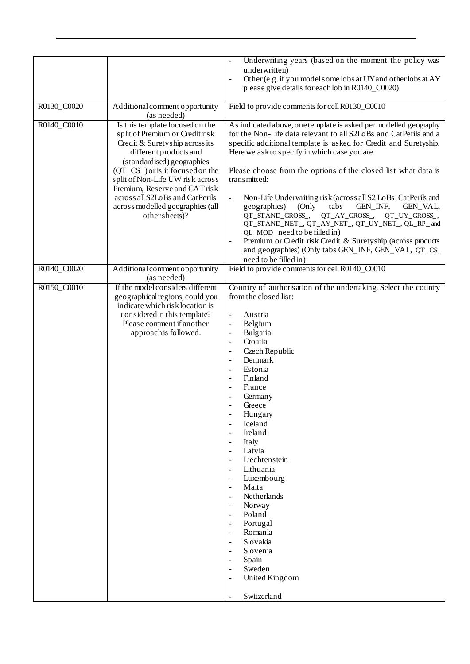|             |                                                                    | Underwriting years (based on the moment the policy was                                                                               |
|-------------|--------------------------------------------------------------------|--------------------------------------------------------------------------------------------------------------------------------------|
|             |                                                                    | underwritten)<br>Other (e.g. if you model some lobs at UY and other lobs at AY                                                       |
|             |                                                                    | please give details for each lob in R0140_C0020)                                                                                     |
|             |                                                                    |                                                                                                                                      |
| R0130_C0020 | Additional comment opportunity                                     | Field to provide comments for cell R0130_C0010                                                                                       |
|             | (as needed)                                                        |                                                                                                                                      |
| R0140_C0010 | Is this template focused on the<br>split of Premium or Credit risk | As indicated above, one template is asked per modelled geography<br>for the Non-Life data relevant to all S2LoBs and CatPerils and a |
|             | Credit & Suretyship across its                                     | specific additional template is asked for Credit and Suretyship.                                                                     |
|             | different products and                                             | Here we ask to specify in which case you are.                                                                                        |
|             | (standardised) geographies                                         |                                                                                                                                      |
|             | $(QT_{C}S_{})$ or is it focused on the                             | Please choose from the options of the closed list what data is                                                                       |
|             | split of Non-Life UW risk across                                   | transmitted:                                                                                                                         |
|             | Premium, Reserve and CAT risk                                      |                                                                                                                                      |
|             | across all S2LoBs and CatPerils                                    | Non-Life Underwriting risk (across all S2 LoBs, CatPerils and<br>$\Box$                                                              |
|             | across modelled geographies (all<br>other sheets)?                 | geographies)<br>(Only<br>tabs<br>GEN_INF,<br><b>GEN_VAL,</b><br>QT_STAND_GROSS_,<br>QT_AY_GROSS_,<br>QT_UY_GROSS_,                   |
|             |                                                                    | QT_STAND_NET_, QT_AY_NET_, QT_UY_NET_, QL_RP_ and                                                                                    |
|             |                                                                    | QL_MOD_ need to be filled in)                                                                                                        |
|             |                                                                    | Premium or Credit risk Credit & Suretyship (across products                                                                          |
|             |                                                                    | and geographies) (Only tabs GEN_INF, GEN_VAL, QT_CS_                                                                                 |
|             |                                                                    | need to be filled in)                                                                                                                |
| R0140_C0020 | Additional comment opportunity<br>(as needed)                      | Field to provide comments for cell R0140_C0010                                                                                       |
| R0150_C0010 | If the model considers different                                   | Country of authorisation of the undertaking. Select the country                                                                      |
|             | geographical regions, could you                                    | from the closed list:                                                                                                                |
|             | indicate which risk location is                                    |                                                                                                                                      |
|             | considered in this template?<br>Please comment if another          | Austria<br>$\overline{\phantom{a}}$<br>Belgium<br>$\overline{\phantom{a}}$                                                           |
|             | approach is followed.                                              | Bulgaria<br>$\frac{1}{2}$                                                                                                            |
|             |                                                                    | Croatia<br>$\overline{\phantom{a}}$                                                                                                  |
|             |                                                                    | Czech Republic<br>$\blacksquare$                                                                                                     |
|             |                                                                    | Denmark                                                                                                                              |
|             |                                                                    | Estonia                                                                                                                              |
|             |                                                                    | Finland<br>$\overline{\phantom{a}}$<br>France                                                                                        |
|             |                                                                    | Germany                                                                                                                              |
|             |                                                                    | Greece                                                                                                                               |
|             |                                                                    | Hungary                                                                                                                              |
|             |                                                                    | Iceland                                                                                                                              |
|             |                                                                    | Ireland<br>$\overline{\phantom{a}}$                                                                                                  |
|             |                                                                    | Italy<br>$\blacksquare$                                                                                                              |
|             |                                                                    | Latvia<br>$\blacksquare$<br>Liechtenstein<br>$\blacksquare$                                                                          |
|             |                                                                    | Lithuania<br>$\blacksquare$                                                                                                          |
|             |                                                                    | Luxembourg                                                                                                                           |
|             |                                                                    | Malta<br>$\blacksquare$                                                                                                              |
|             |                                                                    | Netherlands                                                                                                                          |
|             |                                                                    | Norway<br>$\overline{\phantom{a}}$                                                                                                   |
|             |                                                                    | Poland<br>$\blacksquare$<br>Portugal                                                                                                 |
|             |                                                                    | Romania<br>$\overline{\phantom{a}}$                                                                                                  |
|             |                                                                    | Slovakia                                                                                                                             |
|             |                                                                    | Slovenia                                                                                                                             |
|             |                                                                    | Spain<br>$\overline{\phantom{a}}$                                                                                                    |
|             |                                                                    | Sweden<br>$\blacksquare$                                                                                                             |
|             |                                                                    | United Kingdom<br>$\overline{\phantom{a}}$                                                                                           |
|             |                                                                    | Switzerland                                                                                                                          |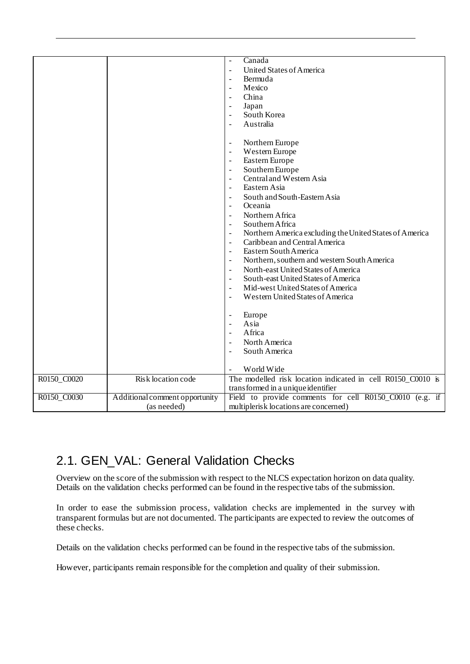|             |                                | Canada                                                       |
|-------------|--------------------------------|--------------------------------------------------------------|
|             |                                |                                                              |
|             |                                | <b>United States of America</b><br>$\mathbb{L}$              |
|             |                                | Bermuda                                                      |
|             |                                | Mexico                                                       |
|             |                                | China                                                        |
|             |                                | Japan                                                        |
|             |                                | South Korea                                                  |
|             |                                | Australia<br>$\sim$                                          |
|             |                                |                                                              |
|             |                                | Northern Europe<br>$\overline{\phantom{a}}$                  |
|             |                                | Western Europe<br>$\overline{\phantom{a}}$                   |
|             |                                | Eastern Europe<br>$\overline{\phantom{a}}$                   |
|             |                                | Southern Europe<br>$\blacksquare$                            |
|             |                                | Central and Western Asia<br>$\blacksquare$                   |
|             |                                | Eastern Asia                                                 |
|             |                                | South and South-Eastern Asia                                 |
|             |                                | Oceania<br>$\sim$                                            |
|             |                                | Northern Africa<br>$\sim$                                    |
|             |                                | Southern Africa<br>$\sim$                                    |
|             |                                | Northern America excluding the United States of America      |
|             |                                | Caribbean and Central America<br>$\overline{\phantom{a}}$    |
|             |                                | Eastern South America<br>$\sim$                              |
|             |                                | Northern, southern and western South America                 |
|             |                                | North-east United States of America<br>$\blacksquare$        |
|             |                                | South-east United States of America                          |
|             |                                | Mid-west United States of America                            |
|             |                                | Western United States of America                             |
|             |                                |                                                              |
|             |                                |                                                              |
|             |                                | Europe<br>$\overline{\phantom{a}}$<br>Asia<br>$\blacksquare$ |
|             |                                | Africa                                                       |
|             |                                |                                                              |
|             |                                | North America                                                |
|             |                                | South America                                                |
|             |                                |                                                              |
|             |                                | World Wide                                                   |
| R0150_C0020 | Risk location code             | The modelled risk location indicated in cell R0150_C0010 is  |
|             |                                | transformed in a unique identifier                           |
| R0150_C0030 | Additional comment opportunity | Field to provide comments for cell R0150_C0010 (e.g. if      |
|             | (as needed)                    | multiplerisk locations are concerned)                        |

## <span id="page-6-0"></span>2.1. GEN\_VAL: General Validation Checks

Overview on the score of the submission with respect to the NLCS expectation horizon on data quality. Details on the validation checks performed can be found in the respective tabs of the submission.

In order to ease the submission process, validation checks are implemented in the survey with transparent formulas but are not documented. The participants are expected to review the outcomes of these checks.

Details on the validation checks performed can be found in the respective tabs of the submission.

However, participants remain responsible for the completion and quality of their submission.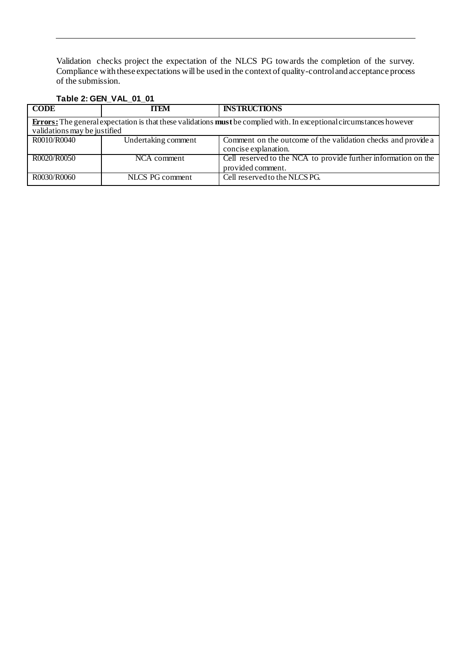Validation checks project the expectation of the NLCS PG towards the completion of the survey. Compliance with these expectations will be used in the context of quality-control and acceptance process of the submission.

### <span id="page-7-0"></span>**Table 2: GEN\_VAL\_01\_01**

| <b>CODE</b>                  | <b>TTEM</b>         | <b>INSTRUCTIONS</b>                                                                                                                 |
|------------------------------|---------------------|-------------------------------------------------------------------------------------------------------------------------------------|
|                              |                     | <b>Errors:</b> The general expectation is that these validations <b>must</b> be complied with. In exceptional circumstances however |
| validations may be justified |                     |                                                                                                                                     |
| R0010/R0040                  | Undertaking comment | Comment on the outcome of the validation checks and provide a                                                                       |
|                              |                     | concise explanation.                                                                                                                |
| R0020/R0050                  | NCA comment         | Cell reserved to the NCA to provide further information on the                                                                      |
|                              |                     | provided comment.                                                                                                                   |
| R0030/R0060                  | NLCS PG comment     | Cell reserved to the NLCS PG.                                                                                                       |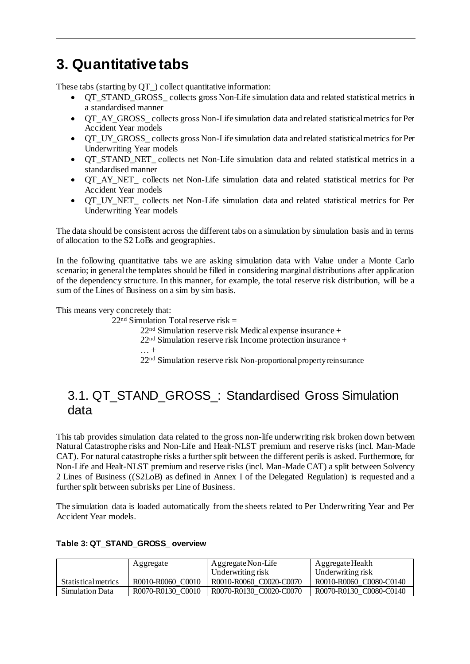# <span id="page-8-0"></span>**3. Quantitative tabs**

These tabs (starting by QT\_) collect quantitative information:

- QT\_STAND\_GROSS\_ collects gross Non-Life simulation data and related statistical metrics in a standardised manner
- OT AY GROSS collects gross Non-Life simulation data and related statistical metrics for Per Accident Year models
- QT UY GROSS collects gross Non-Life simulation data and related statistical metrics for Per Underwriting Year models
- QT\_STAND\_NET\_ collects net Non-Life simulation data and related statistical metrics in a standardised manner
- QT\_AY\_NET\_ collects net Non-Life simulation data and related statistical metrics for Per Accident Year models
- QT\_UY\_NET\_ collects net Non-Life simulation data and related statistical metrics for Per Underwriting Year models

The data should be consistent across the different tabs on a simulation by simulation basis and in terms of allocation to the S2 LoBs and geographies.

In the following quantitative tabs we are asking simulation data with Value under a Monte Carlo scenario; in general the templates should be filled in considering marginal distributions after application of the dependency structure. In this manner, for example, the total reserve risk distribution, will be a sum of the Lines of Business on a sim by sim basis.

This means very concretely that:

 $22<sup>nd</sup>$  Simulation Total reserve risk = 22nd Simulation reserve risk Medical expense insurance + 22nd Simulation reserve risk Income protection insurance +  $\dots$  + 22nd Simulation reserve risk Non-proportional property reinsurance

## <span id="page-8-1"></span>3.1. QT\_STAND\_GROSS\_: Standardised Gross Simulation data

This tab provides simulation data related to the gross non-life underwriting risk broken down between Natural Catastrophe risks and Non-Life and Healt-NLST premium and reserve risks (incl. Man-Made CAT). For natural catastrophe risks a further split between the different perils is asked. Furthermore, for Non-Life and Healt-NLST premium and reserve risks (incl. Man-Made CAT) a split between Solvency 2 Lines of Business ((S2LoB) as defined in Annex I of the Delegated Regulation) is requested and a further split between subrisks per Line of Business.

The simulation data is loaded automatically from the sheets related to Per Underwriting Year and Per Accident Year models.

|                            | Aggregate         | Aggregate Non-Life<br>Underwriting risk | Aggregate Health<br>Underwriting risk |
|----------------------------|-------------------|-----------------------------------------|---------------------------------------|
| <b>Statistical metrics</b> | R0010-R0060 C0010 | R0010-R0060 C0020-C0070                 | R0010-R0060 C0080-C0140               |
| Simulation Data            | R0070-R0130 C0010 | R0070-R0130 C0020-C0070                 | R0070-R0130 C0080-C0140               |

#### <span id="page-8-2"></span>**Table 3: QT\_STAND\_GROSS\_ overview**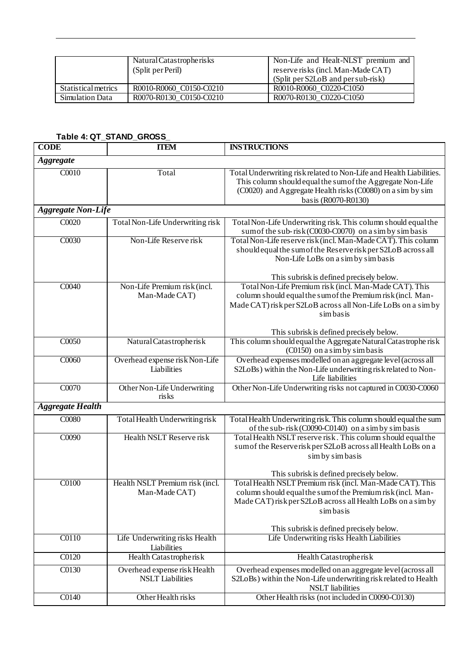|                     | Natural Catas tropherisks<br>(Split per Peril) | Non-Life and Healt-NLST premium and<br>reserve risks (incl. Man-Made CAT)<br>(Split per S2LoB and per sub-risk) |
|---------------------|------------------------------------------------|-----------------------------------------------------------------------------------------------------------------|
| Statistical metrics | R0010-R0060 C0150-C0210                        | R0010-R0060 C0220-C1050                                                                                         |
| Simulation Data     | R0070-R0130 C0150-C0210                        | R0070-R0130 C0220-C1050                                                                                         |

### <span id="page-9-0"></span>**Table 4: QT\_STAND\_GROSS\_**

| <b>CODE</b>               | <b>TTEM</b>                                             | <b>INSTRUCTIONS</b>                                                                                                                                                                                                                             |  |
|---------------------------|---------------------------------------------------------|-------------------------------------------------------------------------------------------------------------------------------------------------------------------------------------------------------------------------------------------------|--|
| <b>Aggregate</b>          |                                                         |                                                                                                                                                                                                                                                 |  |
| C0010                     | Total                                                   | Total Underwriting risk related to Non-Life and Health Liabilities.<br>This column should equal the sum of the Aggregate Non-Life<br>(C0020) and Aggregate Health risks (C0080) on a sim by sim<br>basis (R0070-R0130)                          |  |
| <b>Aggregate Non-Life</b> |                                                         |                                                                                                                                                                                                                                                 |  |
| CO <sub>020</sub>         | Total Non-Life Underwriting risk                        | Total Non-Life Underwriting risk. This column should equal the<br>sum of the sub-risk (C0030-C0070) on a sim by simbasis                                                                                                                        |  |
| C0030                     | Non-Life Reserve risk                                   | Total Non-Life reserve risk (incl. Man-Made CAT). This column<br>should equal the sum of the Reserverisk per S2LoB across all<br>Non-Life LoBs on a sim by simbasis<br>This subrisk is defined precisely below.                                 |  |
| C0040                     | Non-Life Premium risk (incl.<br>Man-Made CAT)           | Total Non-Life Premium risk (incl. Man-Made CAT). This<br>column should equal the sum of the Premium risk (incl. Man-<br>Made CAT) risk per S2LoB across all Non-Life LoBs on a sim by<br>sim basis<br>This subrisk is defined precisely below. |  |
| $\overline{C0050}$        | Natural Catastropherisk                                 | This column should equal the Aggregate Natural Catastrophe risk<br>(C0150) on a sim by simbasis                                                                                                                                                 |  |
| C0060                     | Overhead expense risk Non-Life<br>Liabilities           | Overhead expenses modelled on an aggregate level (across all<br>S2LoBs) within the Non-Life underwriting risk related to Non-<br>Life liabilities                                                                                               |  |
| C0070                     | Other Non-Life Underwriting<br>risks                    | Other Non-Life Underwriting risks not captured in C0030-C0060                                                                                                                                                                                   |  |
| <b>Aggregate Health</b>   |                                                         |                                                                                                                                                                                                                                                 |  |
| C0080                     | Total Health Underwriting risk                          | Total Health Underwriting risk. This column should equal the sum<br>of the sub-risk (C0090-C0140) on a sim by simbasis                                                                                                                          |  |
| C0090                     | Health NSLT Reserve risk                                | Total Health NSLT reserve risk. This column should equal the<br>sum of the Reserverisk per S2LoB across all Health LoBs on a<br>sim by simbasis<br>This subrisk is defined precisely below.                                                     |  |
| C0100                     | Health NSLT Premium risk (incl.<br>Man-Made CAT)        | Total Health NSLT Premium risk (incl. Man-Made CAT). This<br>column should equal the sum of the Premium risk (incl. Man-<br>Made CAT) risk per S2LoB across all Health LoBs on a sim by<br>simbasis<br>This subrisk is defined precisely below. |  |
| C0110                     | Life Underwriting risks Health<br>Liabilities           | Life Underwriting risks Health Liabilities                                                                                                                                                                                                      |  |
| C0120                     | Health Catastropherisk                                  | Health Catastropherisk                                                                                                                                                                                                                          |  |
| C0130                     | Overhead expense risk Health<br><b>NSLT</b> Liabilities | Overhead expenses modelled on an aggregate level (across all<br>S2LoBs) within the Non-Life underwriting risk related to Health<br><b>NSLT</b> liabilities                                                                                      |  |
| C0140                     | Other Health risks                                      | Other Health risks (not included in C0090-C0130)                                                                                                                                                                                                |  |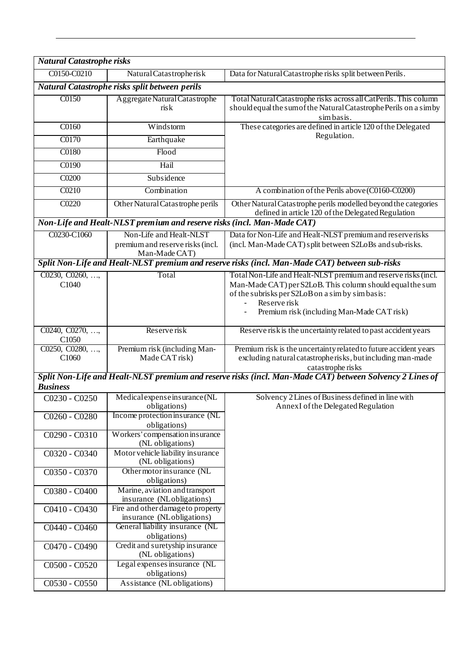| <b>Natural Catastrophe risks</b>               |                                                                              |                                                                                                                                                                                                                                              |  |
|------------------------------------------------|------------------------------------------------------------------------------|----------------------------------------------------------------------------------------------------------------------------------------------------------------------------------------------------------------------------------------------|--|
| C0150-C0210                                    | Natural Catastropherisk                                                      | Data for Natural Catastrophe risks split between Perils.                                                                                                                                                                                     |  |
| Natural Catastrophe risks split between perils |                                                                              |                                                                                                                                                                                                                                              |  |
| C0150                                          | Aggregate Natural Catastrophe<br>risk                                        | Total Natural Catastrophe risks across all CatPerils. This column<br>should equal the sum of the Natural Catastrophe Perils on a simby<br>simbasis.                                                                                          |  |
| $\overline{C0160}$                             | Windstorm                                                                    | These categories are defined in article 120 of the Delegated                                                                                                                                                                                 |  |
| C0170                                          | Earthquake                                                                   | Regulation.                                                                                                                                                                                                                                  |  |
| C0180                                          | Flood                                                                        |                                                                                                                                                                                                                                              |  |
| C0190                                          | Hail                                                                         |                                                                                                                                                                                                                                              |  |
| C0200                                          | Subsidence                                                                   |                                                                                                                                                                                                                                              |  |
| C0210                                          | Combination                                                                  | A combination of the Perils above (C0160-C0200)                                                                                                                                                                                              |  |
| C0220                                          | Other Natural Catastrophe perils                                             | Other Natural Catastrophe perils modelled beyond the categories<br>defined in article 120 of the Delegated Regulation                                                                                                                        |  |
|                                                | Non-Life and Healt-NLST premium and reserve risks (incl. Man-Made CAT)       |                                                                                                                                                                                                                                              |  |
| C0230-C1060                                    | Non-Life and Healt-NLST<br>premium and reserve risks (incl.<br>Man-Made CAT) | Data for Non-Life and Healt-NLST premium and reserverisks<br>(incl. Man-Made CAT) split between S2LoBs and sub-risks.                                                                                                                        |  |
|                                                |                                                                              | Split Non-Life and Healt-NLST premium and reserve risks (incl. Man-Made CAT) between sub-risks                                                                                                                                               |  |
| C0230, C0260, ,<br>C1040                       | Total                                                                        | Total Non-Life and Healt-NLST premium and reserve risks (incl.<br>Man-Made CAT) per S2LoB. This column should equal the sum<br>of the subrisks per S2LoB on a sim by simbasis:<br>Reserve risk<br>Premium risk (including Man-Made CAT risk) |  |
| C0240, C0270, ,<br>C1050                       | Reserve risk                                                                 | Reserve risk is the uncertainty related to past accident years                                                                                                                                                                               |  |
| C0250, C0280, ,<br>C <sub>1060</sub>           | Premium risk (including Man-<br>Made CAT risk)                               | Premium risk is the uncertainty related to future accident years<br>excluding natural catastropherisks, but including man-made<br>catastrophe risks                                                                                          |  |
| <b>Business</b>                                |                                                                              | Split Non-Life and Healt-NLST premium and reserve risks (incl. Man-Made CAT) between Solvency 2 Lines of                                                                                                                                     |  |
| C0230 - C0250                                  | Medical expense insurance (NL<br>obligations)                                | Solvency 2 Lines of Business defined in line with<br>AnnexI of the Delegated Regulation                                                                                                                                                      |  |
| C0260 - C0280                                  | Income protection insurance (NL<br>obligations)                              |                                                                                                                                                                                                                                              |  |
| C0290 - C0310                                  | Workers' compensation in surance<br>(NL obligations)                         |                                                                                                                                                                                                                                              |  |
| C0320 - C0340                                  | Motor vehicle liability insurance<br>(NL obligations)                        |                                                                                                                                                                                                                                              |  |
| C0350 - C0370                                  | Other motor insurance (NL<br>obligations)                                    |                                                                                                                                                                                                                                              |  |
| C0380 - C0400                                  | Marine, aviation and transport<br>insurance (NLobligations)                  |                                                                                                                                                                                                                                              |  |
| C0410 - C0430                                  | Fire and other damage to property<br>insurance (NLobligations)               |                                                                                                                                                                                                                                              |  |
| C0440 - C0460                                  | General liability insurance (NL<br>obligations)                              |                                                                                                                                                                                                                                              |  |
| C0470 - C0490                                  | Credit and suretyship insurance<br>(NL obligations)                          |                                                                                                                                                                                                                                              |  |
| C0500 - C0520                                  | Legal expenses insurance (NL<br>obligations)                                 |                                                                                                                                                                                                                                              |  |
| C0530 - C0550                                  | Assistance (NL obligations)                                                  |                                                                                                                                                                                                                                              |  |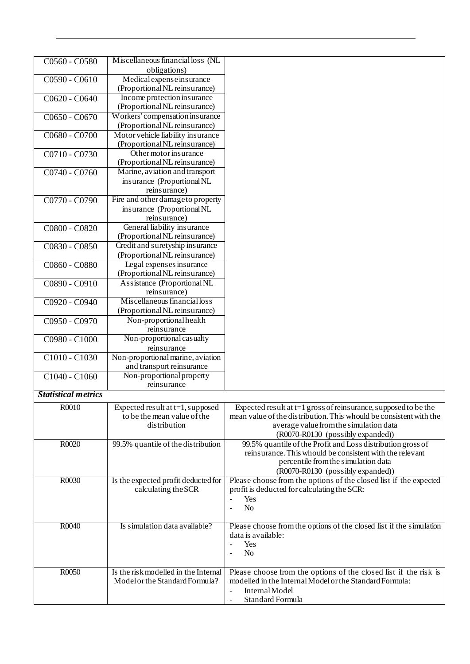| C0560 - C0580              | Miscellaneous financial loss (NL                                |                                                                     |
|----------------------------|-----------------------------------------------------------------|---------------------------------------------------------------------|
|                            | obligations)                                                    |                                                                     |
| C0590 - C0610              | Medical expense insurance                                       |                                                                     |
|                            | (Proportional NL reinsurance)                                   |                                                                     |
| C0620 - C0640              | Income protection insurance                                     |                                                                     |
|                            | (Proportional NL reinsurance)                                   |                                                                     |
| C0650 - C0670              | Workers' compensation insurance                                 |                                                                     |
|                            | (Proportional NL reinsurance)                                   |                                                                     |
| $C0680 - C0700$            | Motor vehicle liability insurance                               |                                                                     |
|                            | (Proportional NL reinsurance)                                   |                                                                     |
| C0710 - C0730              | Other motor insurance                                           |                                                                     |
|                            | (Proportional NL reinsurance)                                   |                                                                     |
| C0740 - C0760              | Marine, aviation and transport                                  |                                                                     |
|                            | insurance (Proportional NL                                      |                                                                     |
|                            | reinsurance)                                                    |                                                                     |
| C0770 - C0790              | Fire and other damage to property                               |                                                                     |
|                            |                                                                 |                                                                     |
|                            | insurance (Proportional NL<br>reinsurance)                      |                                                                     |
|                            |                                                                 |                                                                     |
| C0800 - C0820              | General liability insurance                                     |                                                                     |
|                            | (Proportional NL reinsurance)                                   |                                                                     |
| C0830 - C0850              | Credit and suretyship insurance                                 |                                                                     |
|                            | (Proportional NL reinsurance)                                   |                                                                     |
| C0860 - C0880              | Legal expenses insurance                                        |                                                                     |
|                            | (Proportional NL reinsurance)                                   |                                                                     |
| C0890 - C0910              | Assistance (Proportional NL                                     |                                                                     |
|                            | reinsurance)                                                    |                                                                     |
| C0920 - C0940              | Miscellaneous financial loss                                    |                                                                     |
|                            | (Proportional NL reinsurance)                                   |                                                                     |
| C0950 - C0970              | Non-proportional health                                         |                                                                     |
|                            | reinsurance                                                     |                                                                     |
| C0980 - C1000              | Non-proportional casualty                                       |                                                                     |
|                            | reinsurance                                                     |                                                                     |
| C1010 - C1030              | Non-proportional marine, aviation                               |                                                                     |
|                            | and transport reinsurance                                       |                                                                     |
| C1040 - C1060              | Non-proportional property                                       |                                                                     |
|                            | reinsurance                                                     |                                                                     |
| <b>Statistical metrics</b> |                                                                 |                                                                     |
| R0010                      |                                                                 |                                                                     |
|                            | Expected result at t=1, supposed<br>to be the mean value of the | Expected result at $t=1$ gross of reinsurance, supposed to be the   |
|                            |                                                                 | mean value of the distribution. This whould be consistent with the  |
|                            | distribution                                                    | average value from the simulation data                              |
|                            |                                                                 | (R0070-R0130 (possibly expanded))                                   |
| R0020                      | 99.5% quantile of the distribution                              | 99.5% quantile of the Profit and Loss distribution gross of         |
|                            |                                                                 | reinsurance. This whould be consistent with the relevant            |
|                            |                                                                 | percentile from the simulation data                                 |
|                            |                                                                 | (R0070-R0130 (possibly expanded))                                   |
| R0030                      | Is the expected profit deducted for                             | Please choose from the options of the closed list if the expected   |
|                            | calculating the SCR                                             | profit is deducted for calculating the SCR:                         |
|                            |                                                                 | Yes<br>$\overline{\phantom{a}}$                                     |
|                            |                                                                 | N <sub>o</sub><br>$\blacksquare$                                    |
|                            |                                                                 |                                                                     |
| R0040                      | Is simulation data available?                                   | Please choose from the options of the closed list if the simulation |
|                            |                                                                 | data is available:                                                  |
|                            |                                                                 | Yes                                                                 |
|                            |                                                                 | N <sub>o</sub>                                                      |
|                            |                                                                 |                                                                     |
| R0050                      | Is the risk modelled in the Internal                            | Please choose from the options of the closed list if the risk is    |
|                            | Model or the Standard Formula?                                  | modelled in the Internal Model or the Standard Formula:             |
|                            |                                                                 | Internal Model                                                      |
|                            |                                                                 | Standard Formula<br>$\qquad \qquad -$                               |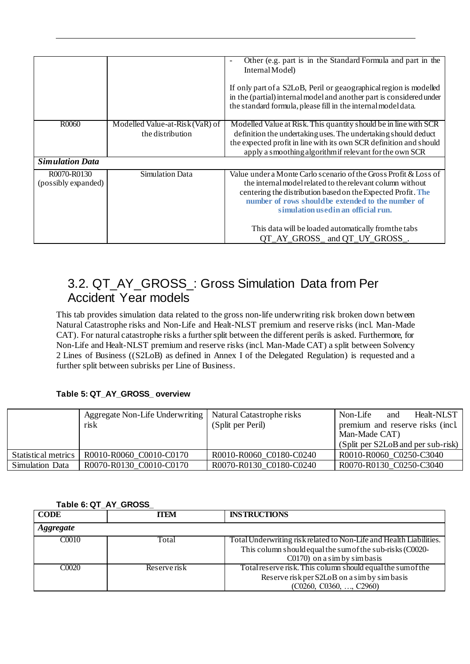|                                    |                                                                  | Other (e.g. part is in the Standard Formula and part in the<br>Internal Model)<br>If only part of a S2LoB, Peril or geaographical region is modelled<br>in the (partial) internal model and another part is considered under<br>the standard formula, please fill in the internal model data. |
|------------------------------------|------------------------------------------------------------------|-----------------------------------------------------------------------------------------------------------------------------------------------------------------------------------------------------------------------------------------------------------------------------------------------|
|                                    |                                                                  |                                                                                                                                                                                                                                                                                               |
| R0060                              | Modelled Value-at-Risk $(\overline{VaR})$ of<br>the distribution | Modelled Value at Risk. This quantity should be in line with SCR<br>definition the undertaking uses. The undertaking should deduct<br>the expected profit in line with its own SCR definition and should<br>apply a smoothing algorithm if relevant for the own SCR                           |
| <b>Simulation Data</b>             |                                                                  |                                                                                                                                                                                                                                                                                               |
| R0070-R0130<br>(possibly expanded) | Simulation Data                                                  | Value under a Monte Carlo scenario of the Gross Profit & Loss of<br>the internal model related to the relevant column without<br>centering the distribution based on the Expected Profit. The<br>number of rows should be extended to the number of<br>simulation used in an official run.    |
|                                    |                                                                  | This data will be loaded automatically from the tabs<br>QT_AY_GROSS_ and QT_UY_GROSS_.                                                                                                                                                                                                        |

## <span id="page-12-0"></span>3.2. QT\_AY\_GROSS\_: Gross Simulation Data from Per Accident Year models

This tab provides simulation data related to the gross non-life underwriting risk broken down between Natural Catastrophe risks and Non-Life and Healt-NLST premium and reserve risks (incl. Man-Made CAT). For natural catastrophe risks a further split between the different perils is asked. Furthermore, for Non-Life and Healt-NLST premium and reserve risks (incl. Man-Made CAT) a split between Solvency 2 Lines of Business ((S2LoB) as defined in Annex I of the Delegated Regulation) is requested and a further split between subrisks per Line of Business.

### <span id="page-12-1"></span>**Table 5: QT\_AY\_GROSS\_ overview**

|                     | Aggregate Non-Life Underwriting   Natural Catastrophe risks<br>risk | (Split per Peril)       | Non-Life<br>Healt-NLST<br>and<br>premium and reserve risks (incl.<br>Man-Made CAT)<br>(Split per S2LoB and per sub-risk) |
|---------------------|---------------------------------------------------------------------|-------------------------|--------------------------------------------------------------------------------------------------------------------------|
| Statistical metrics | R0010-R0060 C0010-C0170                                             | R0010-R0060 C0180-C0240 | R0010-R0060 C0250-C3040                                                                                                  |
| Simulation Data     | R0070-R0130 C0010-C0170                                             | R0070-R0130 C0180-C0240 | R0070-R0130 C0250-C3040                                                                                                  |

### <span id="page-12-2"></span>**Table 6: QT\_AY\_GROSS\_**

| <b>CODE</b>       | <b>TTEM</b>  | <b>INSTRUCTIONS</b>                                                                                                                                              |  |
|-------------------|--------------|------------------------------------------------------------------------------------------------------------------------------------------------------------------|--|
| <i>Aggregate</i>  |              |                                                                                                                                                                  |  |
| C <sub>0010</sub> | Total        | Total Underwriting risk related to Non-Life and Health Liabilities.<br>This column should equal the sum of the sub-risks (C0020-<br>$C0170$ on a sim by simbasis |  |
| C <sub>0020</sub> | Reserve risk | Total reserve risk. This column should equal the sum of the<br>Reserve risk per S2LoB on a sim by simbasis<br>$(C0260, C0360, \ldots, C2960)$                    |  |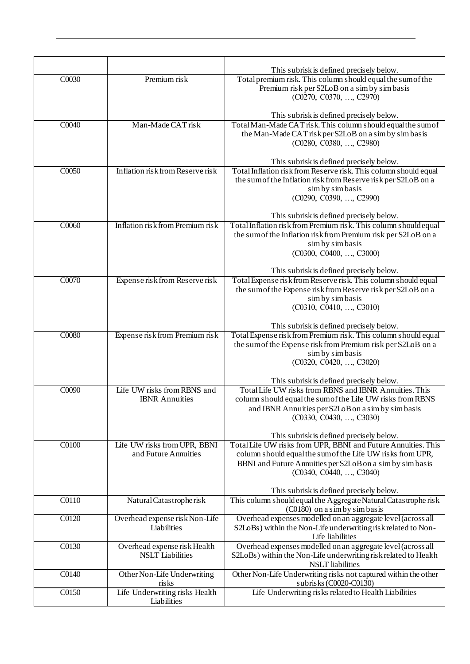|       |                                      | This subrisk is defined precisely below.                                                                  |
|-------|--------------------------------------|-----------------------------------------------------------------------------------------------------------|
| C0030 | Premium risk                         | Total premium risk. This column should equal the sum of the                                               |
|       |                                      | Premium risk per S2LoB on a sim by simbasis                                                               |
|       |                                      | (C0270, C0370, , C2970)                                                                                   |
|       |                                      | This subrisk is defined precisely below.                                                                  |
| C0040 | Man-Made CAT risk                    | Total Man-Made CAT risk. This column should equal the sum of                                              |
|       |                                      | the Man-Made CAT risk per S2LoB on a sim by simbasis                                                      |
|       |                                      | (C0280, C0380, , C2980)                                                                                   |
|       |                                      | This subrisk is defined precisely below.                                                                  |
| C0050 | Inflation risk from Reserve risk     | Total Inflation risk from Reserve risk. This column should equal                                          |
|       |                                      | the sum of the Inflation risk from Reserve risk per S2LoB on a                                            |
|       |                                      | sim by simbasis<br>(C0290, C0390, , C2990)                                                                |
|       |                                      |                                                                                                           |
|       |                                      | This subrisk is defined precisely below.                                                                  |
| C0060 | Inflation risk from Premium risk     | Total Inflation risk from Premium risk. This column should equal                                          |
|       |                                      | the sum of the Inflation risk from Premium risk per S2LoB on a<br>sim by simbasis                         |
|       |                                      | (C0300, C0400, , C3000)                                                                                   |
|       |                                      |                                                                                                           |
|       |                                      | This subrisk is defined precisely below.                                                                  |
| C0070 | Expense risk from Reserve risk       | Total Expense risk from Reserve risk. This column should equal                                            |
|       |                                      | the sum of the Expense risk from Reserve risk per S2LoB on a<br>sim by simbasis                           |
|       |                                      | (C0310, C0410, , C3010)                                                                                   |
|       |                                      |                                                                                                           |
|       |                                      | This subrisk is defined precisely below.                                                                  |
| C0080 | Expense risk from Premium risk       | Total Expense risk from Premium risk. This column should equal                                            |
|       |                                      | the sum of the Expense risk from Premium risk per S2LoB on a<br>sim by simbasis                           |
|       |                                      | (C0320, C0420, , C3020)                                                                                   |
|       |                                      |                                                                                                           |
|       | Life UW risks from RBNS and          | This subrisk is defined precisely below.<br>Total Life UW risks from RBNS and IBNR Annuities. This        |
| C0090 | <b>IBNR</b> Annuities                | column should equal the sum of the Life UW risks from RBNS                                                |
|       |                                      | and IBNR Annuities per S2LoB on a sim by simbasis                                                         |
|       |                                      | (C0330, C0430, , C3030)                                                                                   |
|       |                                      |                                                                                                           |
| C0100 | Life UW risks from UPR, BBNI         | This subrisk is defined precisely below.<br>Total Life UW risks from UPR, BBNI and Future Annuities. This |
|       | and Future Annuities                 | column should equal the sum of the Life UW risks from UPR,                                                |
|       |                                      | BBNI and Future Annuities per S2LoB on a sim by simbasis                                                  |
|       |                                      | (C0340, C0440, , C3040)                                                                                   |
|       |                                      | This subrisk is defined precisely below.                                                                  |
| C0110 | Natural Catastropherisk              | This column should equal the Aggregate Natural Catastrophe risk                                           |
|       |                                      | (C0180) on a sim by simbasis                                                                              |
| C0120 | Overhead expense risk Non-Life       | Overhead expenses modelled on an aggregate level (across all                                              |
|       | Liabilities                          | S2LoBs) within the Non-Life underwriting risk related to Non-<br>Life liabilities                         |
| C0130 | Overhead expense risk Health         | Overhead expenses modelled on an aggregate level (across all                                              |
|       | <b>NSLT</b> Liabilities              | S2LoBs) within the Non-Life underwriting risk related to Health                                           |
|       |                                      | <b>NSLT</b> liabilities                                                                                   |
| C0140 | Other Non-Life Underwriting<br>risks | Other Non-Life Underwriting risks not captured within the other<br>subrisks (C0020-C0130)                 |
| C0150 | Life Underwriting risks Health       | Life Underwriting risks related to Health Liabilities                                                     |
|       | Liabilities                          |                                                                                                           |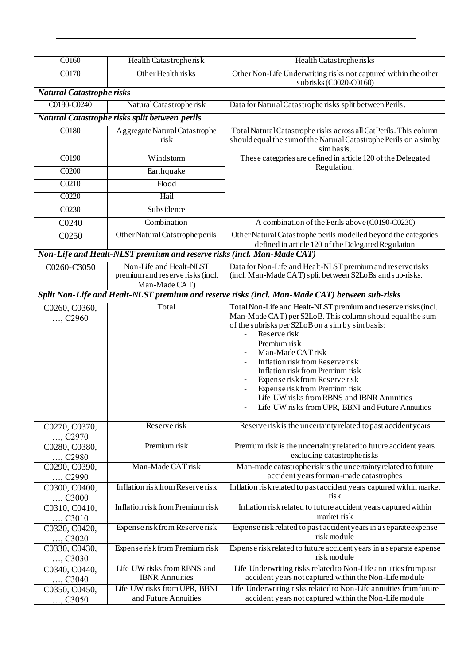| C0160                            | Health Catastropherisk                                                       | Health Catastropherisks                                                                                                                                                                                                                                                                                                                                                                                                                                                            |
|----------------------------------|------------------------------------------------------------------------------|------------------------------------------------------------------------------------------------------------------------------------------------------------------------------------------------------------------------------------------------------------------------------------------------------------------------------------------------------------------------------------------------------------------------------------------------------------------------------------|
| C0170                            | Other Health risks                                                           | Other Non-Life Underwriting risks not captured within the other<br>subrisks (C0020-C0160)                                                                                                                                                                                                                                                                                                                                                                                          |
| <b>Natural Catastrophe risks</b> |                                                                              |                                                                                                                                                                                                                                                                                                                                                                                                                                                                                    |
| C0180-C0240                      | Natural Catastropherisk                                                      | Data for Natural Catastrophe risks split between Perils.                                                                                                                                                                                                                                                                                                                                                                                                                           |
|                                  | Natural Catastrophe risks split between perils                               |                                                                                                                                                                                                                                                                                                                                                                                                                                                                                    |
| C0180                            | Aggregate Natural Catastrophe<br>risk                                        | Total Natural Catastrophe risks across all CatPerils. This column<br>should equal the sum of the Natural Catastrophe Perils on a simby<br>simbasis.                                                                                                                                                                                                                                                                                                                                |
| C0190                            | Windstorm                                                                    | These categories are defined in article 120 of the Delegated                                                                                                                                                                                                                                                                                                                                                                                                                       |
| C0200                            | Earthquake                                                                   | Regulation.                                                                                                                                                                                                                                                                                                                                                                                                                                                                        |
| C0210                            | Flood                                                                        |                                                                                                                                                                                                                                                                                                                                                                                                                                                                                    |
| C0220                            | Hail                                                                         |                                                                                                                                                                                                                                                                                                                                                                                                                                                                                    |
| C0230                            | Subsidence                                                                   |                                                                                                                                                                                                                                                                                                                                                                                                                                                                                    |
| C0240                            | Combination                                                                  | A combination of the Perils above (C0190-C0230)                                                                                                                                                                                                                                                                                                                                                                                                                                    |
| C0250                            | Other Natural Catstrophe perils                                              | Other Natural Catastrophe perils modelled beyond the categories<br>defined in article 120 of the Delegated Regulation                                                                                                                                                                                                                                                                                                                                                              |
|                                  | Non-Life and Healt-NLST premium and reserve risks (incl. Man-Made CAT)       |                                                                                                                                                                                                                                                                                                                                                                                                                                                                                    |
| C0260-C3050                      | Non-Life and Healt-NLST<br>premium and reserve risks (incl.<br>Man-Made CAT) | Data for Non-Life and Healt-NLST premium and reserverisks<br>(incl. Man-Made CAT) split between S2LoBs and sub-risks.                                                                                                                                                                                                                                                                                                                                                              |
|                                  |                                                                              | Split Non-Life and Healt-NLST premium and reserve risks (incl. Man-Made CAT) between sub-risks                                                                                                                                                                                                                                                                                                                                                                                     |
| C0260, C0360,<br>, C2960         | Total                                                                        | Total Non-Life and Healt-NLST premium and reserve risks (incl.<br>Man-Made CAT) per S2LoB. This column should equal the sum<br>of the subrisks per S2LoB on a sim by simbasis:<br>Reserve risk<br>Premium risk<br>Man-Made CAT risk<br>Inflation risk from Reserve risk<br>Inflation risk from Premium risk<br>Expense risk from Reserve risk<br>Expense risk from Premium risk<br>Life UW risks from RBNS and IBNR Annuities<br>Life UW risks from UPR, BBNI and Future Annuities |
| C0270, C0370,<br>, C2970         | Reserve risk                                                                 | Reserve risk is the uncertainty related to past accident years                                                                                                                                                                                                                                                                                                                                                                                                                     |
| C0280, C0380,<br>, C2980         | Premium risk                                                                 | Premium risk is the uncertainty related to future accident years<br>excluding catastropherisks                                                                                                                                                                                                                                                                                                                                                                                     |
| C0290, C0390,<br>, C2990         | Man-Made CAT risk                                                            | Man-made catastropherisk is the uncertainty related to future<br>accident years for man-made catastrophes                                                                                                                                                                                                                                                                                                                                                                          |
| C0300, C0400,<br>, C3000         | Inflation risk from Reserve risk                                             | Inflation risk related to past accident years captured within market<br>$\operatorname*{risk}$                                                                                                                                                                                                                                                                                                                                                                                     |
| C0310, C0410,<br>, C3010         | Inflation risk from Premium risk                                             | Inflation risk related to future accident years captured within<br>market risk                                                                                                                                                                                                                                                                                                                                                                                                     |
| C0320, C0420,<br>, C3020         | Expense risk from Reserve risk                                               | Expense risk related to past accident years in a separate expense<br>risk module                                                                                                                                                                                                                                                                                                                                                                                                   |
| C0330, C0430,<br>, $C3030$       | Expense risk from Premium risk                                               | Expense risk related to future accident years in a separate expense<br>risk module                                                                                                                                                                                                                                                                                                                                                                                                 |
| C0340, C0440,<br>, C3040         | Life UW risks from RBNS and<br><b>IBNR</b> Annuities                         | Life Underwriting risks related to Non-Life annuities from past<br>accident years not captured within the Non-Life module                                                                                                                                                                                                                                                                                                                                                          |
| C0350, C0450,<br>, C3050         | Life UW risks from UPR, BBNI<br>and Future Annuities                         | Life Underwriting risks related to Non-Life annuities from future<br>accident years not captured within the Non-Life module                                                                                                                                                                                                                                                                                                                                                        |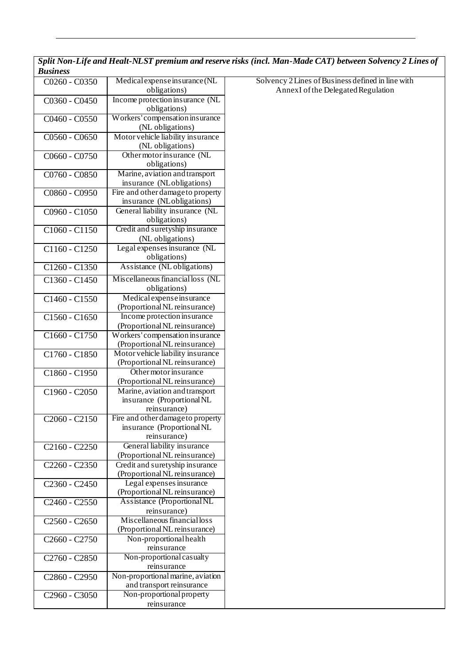*Split Non-Life and Healt-NLST premium and reserve risks (incl. Man-Made CAT) between Solvency 2 Lines of Business*

| C0260 - C0350   | Medical expense insurance (NL                                   |  |
|-----------------|-----------------------------------------------------------------|--|
|                 | obligations)                                                    |  |
| C0360 - C0450   | Income protection insurance (NL                                 |  |
|                 | obligations)                                                    |  |
| C0460 - C0550   | Workers' compensation insurance                                 |  |
|                 | (NL obligations)                                                |  |
| C0560 - C0650   | Motor vehicle liability insurance                               |  |
|                 | (NL obligations)<br>Other motor insurance (NL                   |  |
| C0660 - C0750   | obligations)                                                    |  |
| C0760 - C0850   | Marine, aviation and transport                                  |  |
|                 | insurance (NLobligations)                                       |  |
| C0860 - C0950   | Fire and other damage to property                               |  |
|                 | insurance (NLobligations)                                       |  |
| C0960 - C1050   | General liability insurance (NL                                 |  |
|                 | obligations)                                                    |  |
| $C1060 - C1150$ | Credit and suretyship insurance                                 |  |
|                 | (NL obligations)                                                |  |
| C1160 - C1250   | Legal expenses insurance (NL                                    |  |
|                 | obligations)                                                    |  |
| C1260 - C1350   | Assistance (NL obligations)                                     |  |
| C1360 - C1450   | Miscellaneous financial loss (NL                                |  |
|                 | obligations)                                                    |  |
| C1460 - C1550   | Medical expense insurance                                       |  |
|                 | (Proportional NL reinsurance)                                   |  |
| C1560 - C1650   | Income protection insurance                                     |  |
|                 | (Proportional NL reinsurance)                                   |  |
| C1660 - C1750   | Workers' compensation insurance                                 |  |
|                 | (Proportional NL reinsurance)                                   |  |
| C1760 - C1850   | Motor vehicle liability insurance                               |  |
|                 | (Proportional NL reinsurance)                                   |  |
| $C1860 - C1950$ | Other motor insurance                                           |  |
|                 | (Proportional NL reinsurance)<br>Marine, aviation and transport |  |
| C1960 - C2050   | insurance (Proportional NL                                      |  |
|                 | reinsurance)                                                    |  |
| $C2060 - C2150$ | Fire and other damage to property                               |  |
|                 | insurance (Proportional NL                                      |  |
|                 | reinsurance)                                                    |  |
| $C2160 - C2250$ | General liability insurance                                     |  |
|                 | (Proportional NL reinsurance)                                   |  |
| C2260 - C2350   | Credit and suretyship insurance                                 |  |
|                 | (Proportional NL reinsurance)                                   |  |
| C2360 - C2450   | Legal expenses insurance                                        |  |
|                 | (Proportional NL reinsurance)                                   |  |
| C2460 - C2550   | Assistance (Proportional NL                                     |  |
|                 | reinsurance)                                                    |  |
| C2560 - C2650   | Miscellaneous financial loss                                    |  |
|                 | (Proportional NL reinsurance)                                   |  |
| C2660 - C2750   | Non-proportional health<br>reinsurance                          |  |
| C2760 - C2850   | Non-proportional casualty                                       |  |
|                 | reinsurance                                                     |  |
| C2860 - C2950   | Non-proportional marine, aviation                               |  |
|                 | and transport reinsurance                                       |  |
| C2960 - C3050   | Non-proportional property                                       |  |
|                 | reinsurance                                                     |  |

Solvency 2 Lines of Business defined in line with Annex I of the Delegated Regulation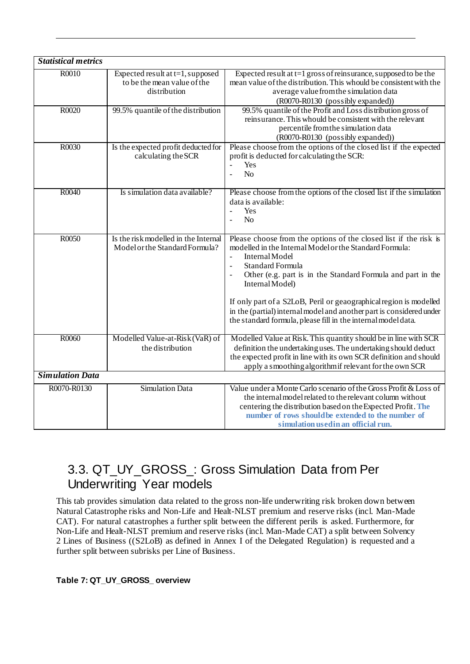| <b>Statistical metrics</b> |                                                                                    |                                                                                                                                                                                                                                                                                                                                                                                                                                                                                                         |
|----------------------------|------------------------------------------------------------------------------------|---------------------------------------------------------------------------------------------------------------------------------------------------------------------------------------------------------------------------------------------------------------------------------------------------------------------------------------------------------------------------------------------------------------------------------------------------------------------------------------------------------|
| R0010                      | Expected result at $t=1$ , supposed<br>to be the mean value of the<br>distribution | Expected result at $t=1$ gross of reinsurance, supposed to be the<br>mean value of the distribution. This whould be consistent with the<br>average value from the simulation data<br>(R0070-R0130 (possibly expanded))                                                                                                                                                                                                                                                                                  |
| R0020                      | 99.5% quantile of the distribution                                                 | 99.5% quantile of the Profit and Loss distribution gross of<br>reinsurance. This whould be consistent with the relevant<br>percentile from the simulation data<br>(R0070-R0130 (possibly expanded))                                                                                                                                                                                                                                                                                                     |
| R0030                      | Is the expected profit deducted for<br>calculating the SCR                         | Please choose from the options of the closed list if the expected<br>profit is deducted for calculating the SCR:<br>Yes<br>$\equiv$<br>No                                                                                                                                                                                                                                                                                                                                                               |
| R0040                      | Is simulation data available?                                                      | Please choose from the options of the closed list if the simulation<br>data is available:<br>Yes<br>$\mathbf{r}$<br>N <sub>o</sub>                                                                                                                                                                                                                                                                                                                                                                      |
| R0050                      | Is the risk modelled in the Internal<br>Model or the Standard Formula?             | Please choose from the options of the closed list if the risk is<br>modelled in the Internal Model or the Standard Formula:<br>Internal Model<br>$\overline{a}$<br><b>Standard Formula</b><br>$\equiv$<br>Other (e.g. part is in the Standard Formula and part in the<br>Internal Model)<br>If only part of a S2LoB, Peril or geaographical region is modelled<br>in the (partial) internal model and another part is considered under<br>the standard formula, please fill in the internal model data. |
| R0060                      | Modelled Value-at-Risk (VaR) of<br>the distribution                                | Modelled Value at Risk. This quantity should be in line with SCR<br>definition the undertaking uses. The undertaking should deduct<br>the expected profit in line with its own SCR definition and should<br>apply a smoothing algorithm if relevant for the own SCR                                                                                                                                                                                                                                     |
| <b>Simulation Data</b>     |                                                                                    |                                                                                                                                                                                                                                                                                                                                                                                                                                                                                                         |
| R0070-R0130                | <b>Simulation Data</b>                                                             | Value under a Monte Carlo scenario of the Gross Profit & Loss of<br>the internal model related to the relevant column without<br>centering the distribution based on the Expected Profit. The<br>number of rows should be extended to the number of<br>simulation used in an official run.                                                                                                                                                                                                              |

## <span id="page-16-0"></span>3.3. QT\_UY\_GROSS\_: Gross Simulation Data from Per Underwriting Year models

This tab provides simulation data related to the gross non-life underwriting risk broken down between Natural Catastrophe risks and Non-Life and Healt-NLST premium and reserve risks (incl. Man-Made CAT). For natural catastrophes a further split between the different perils is asked. Furthermore, for Non-Life and Healt-NLST premium and reserve risks (incl. Man-Made CAT) a split between Solvency 2 Lines of Business ((S2LoB) as defined in Annex I of the Delegated Regulation) is requested and a further split between subrisks per Line of Business.

### <span id="page-16-1"></span>**Table 7: QT\_UY\_GROSS\_ overview**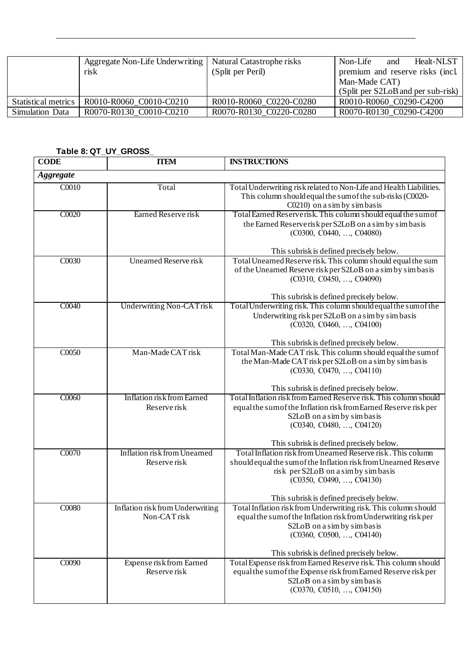|                     | Aggregate Non-Life Underwriting<br>risk | Natural Catastrophe risks<br>(Split per Peril) | Non-Life<br>Healt-NLST<br>and<br>premium and reserve risks (incl.<br>Man-Made CAT)<br>(Split per S2LoB and per sub-risk) |
|---------------------|-----------------------------------------|------------------------------------------------|--------------------------------------------------------------------------------------------------------------------------|
| Statistical metrics | R0010-R0060 C0010-C0210                 | R0010-R0060 C0220-C0280                        | R0010-R0060 C0290-C4200                                                                                                  |
| Simulation Data     | R0070-R0130 C0010-C0210                 | R0070-R0130 C0220-C0280                        | R0070-R0130 C0290-C4200                                                                                                  |

### <span id="page-17-0"></span>**Table 8: QT\_UY\_GROSS\_**

| <b>CODE</b>      | <b>ITEM</b>                                      | <b>INSTRUCTIONS</b>                                                                                                                                                                                                                             |
|------------------|--------------------------------------------------|-------------------------------------------------------------------------------------------------------------------------------------------------------------------------------------------------------------------------------------------------|
| <b>Aggregate</b> |                                                  |                                                                                                                                                                                                                                                 |
| C0010            | Total                                            | Total Underwriting risk related to Non-Life and Health Liabilities.<br>This column should equal the sum of the sub-risks (C0020-<br>$C0210$ ) on a sim by simbasis                                                                              |
| C0020            | Earned Reserve risk                              | Total Earned Reserverisk. This column should equal the sum of<br>the Earned Reserverisk per S2LoB on a sim by simbasis<br>(C0300, C0440, , C04080)<br>This subrisk is defined precisely below.                                                  |
| C0030            | <b>Unearned Reserve risk</b>                     | Total Unearned Reserve risk. This column should equal the sum<br>of the Unearned Reserve risk per S2LoB on a sim by simbasis<br>(C0310, C0450, , C04090)<br>This subrisk is defined precisely below.                                            |
| C0040            | <b>Underwriting Non-CATrisk</b>                  | Total Underwriting risk. This column should equal the sum of the<br>Underwriting risk per S2LoB on a sim by simbasis<br>(C0320, C0460, , C04100)<br>This subrisk is defined precisely below.                                                    |
| C0050            | Man-Made CAT risk                                | Total Man-Made CAT risk. This column should equal the sum of<br>the Man-Made CAT risk per S2LoB on a sim by simbasis<br>$(C0330, C0470, \ldots, C04110)$                                                                                        |
| C0060            | Inflation risk from Earned                       | This subrisk is defined precisely below.<br>Total Inflation risk from Earned Reserve risk. This column should                                                                                                                                   |
|                  | Reserve risk                                     | equal the sum of the Inflation risk from Earned Reserve risk per<br>S2LoB on a sim by simbasis<br>(C0340, C0480, , C04120)                                                                                                                      |
|                  |                                                  | This subrisk is defined precisely below.                                                                                                                                                                                                        |
| C0070            | Inflation risk from Unearned<br>Reserve risk     | Total Inflation risk from Unearned Reserve risk. This column<br>should equal the sum of the Inflation risk from Unearned Reserve<br>risk per S2LoB on a sim by simbasis<br>(C0350, C0490, , C04130)<br>This subrisk is defined precisely below. |
| C0080            | Inflation risk from Underwriting<br>Non-CAT risk | Total Inflation risk from Underwriting risk. This column should<br>equal the sum of the Inflation risk from Underwriting risk per<br>S2LoB on a sim by simbasis<br>$(C0360, C0500, \ldots, C04140)$<br>This subrisk is defined precisely below. |
| C0090            | Expense risk from Earned<br>Reserve risk         | Total Expense risk from Earned Reserve risk. This column should<br>equal the sum of the Expense risk from Earned Reserve risk per<br>S2LoB on a sim by simbasis<br>(C0370, C0510, , C04150)                                                     |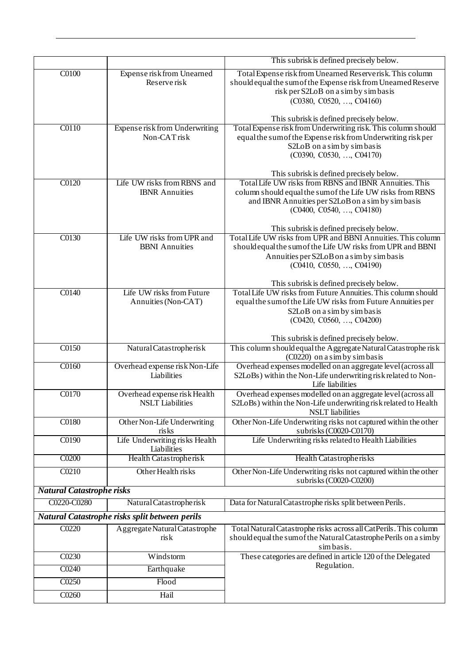|                                  |                                                         | This subrisk is defined precisely below.                                                                                                                                                                                                                                                    |
|----------------------------------|---------------------------------------------------------|---------------------------------------------------------------------------------------------------------------------------------------------------------------------------------------------------------------------------------------------------------------------------------------------|
| $\overline{C0100}$               | Expense risk from Unearned<br>Reserve risk              | Total Expense risk from Unearned Reserverisk. This column<br>should equal the sum of the Expense risk from Unearned Reserve<br>risk per S2LoB on a sim by simbasis<br>(C0380, C0520, , C04160)                                                                                              |
|                                  |                                                         | This subrisk is defined precisely below.                                                                                                                                                                                                                                                    |
| C0110                            | Expense risk from Underwriting<br>Non-CAT risk          | Total Expense risk from Underwriting risk. This column should<br>equal the sum of the Expense risk from Underwriting risk per<br>S2LoB on a sim by simbasis<br>$(C0390, C0530, \ldots, C04170)$<br>This subrisk is defined precisely below.                                                 |
| C0120                            | Life UW risks from RBNS and<br><b>IBNR</b> Annuities    | Total Life UW risks from RBNS and IBNR Annuities. This<br>column should equal the sum of the Life UW risks from RBNS<br>and IBNR Annuities per S2LoB on a sim by simbasis<br>(C0400, C0540, , C04180)                                                                                       |
| C0130                            | Life UW risks from UPR and<br><b>BBNI</b> Annuities     | This subrisk is defined precisely below.<br>Total Life UW risks from UPR and BBNI Annuities. This column<br>should equal the sum of the Life UW risks from UPR and BBNI<br>Annuities per S2LoB on a sim by simbasis<br>(C0410, C0550, , C04190)<br>This subrisk is defined precisely below. |
| C0140                            | Life UW risks from Future<br>Annuities (Non-CAT)        | Total Life UW risks from Future Annuities. This column should<br>equal the sum of the Life UW risks from Future Annuities per<br>S2LoB on a sim by simbasis<br>(C0420, C0560, , C04200)                                                                                                     |
| C0150                            | Natural Catastropherisk                                 | This subrisk is defined precisely below.<br>This column should equal the Aggregate Natural Catastrophe risk                                                                                                                                                                                 |
| C0160                            | Overhead expense risk Non-Life<br>Liabilities           | (C0220) on a sim by simbasis<br>Overhead expenses modelled on an aggregate level (across all<br>S2LoBs) within the Non-Life underwriting risk related to Non-<br>Life liabilities                                                                                                           |
| C0170                            | Overhead expense risk Health<br><b>NSLT</b> Liabilities | Overhead expenses modelled on an aggregate level (across all<br>S2LoBs) within the Non-Life underwriting risk related to Health<br><b>NSLT</b> liabilities                                                                                                                                  |
| C0180                            | Other Non-Life Underwriting<br>risks                    | Other Non-Life Underwriting risks not captured within the other<br>subrisks (C0020-C0170)                                                                                                                                                                                                   |
| C0190                            | Life Underwriting risks Health<br>Liabilities           | Life Underwriting risks related to Health Liabilities                                                                                                                                                                                                                                       |
| C0200                            | Health Catastropherisk                                  | Health Catastropherisks                                                                                                                                                                                                                                                                     |
| C0210                            | Other Health risks                                      | Other Non-Life Underwriting risks not captured within the other<br>subrisks (C0020-C0200)                                                                                                                                                                                                   |
| <b>Natural Catastrophe risks</b> |                                                         |                                                                                                                                                                                                                                                                                             |
| C0220-C0280                      | Natural Catastropherisk                                 | Data for Natural Catastrophe risks split between Perils.                                                                                                                                                                                                                                    |
|                                  | Natural Catastrophe risks split between perils          |                                                                                                                                                                                                                                                                                             |
| C0220                            | Aggregate Natural Catastrophe<br>risk                   | Total Natural Catastrophe risks across all CatPerils. This column<br>should equal the sum of the Natural Catastrophe Perils on a simby<br>simbasis.                                                                                                                                         |
| C0230                            | Windstorm                                               | These categories are defined in article 120 of the Delegated                                                                                                                                                                                                                                |
| C0240                            | Earthquake                                              | Regulation.                                                                                                                                                                                                                                                                                 |
| C0250                            | Flood                                                   |                                                                                                                                                                                                                                                                                             |
| C0260                            | Hail                                                    |                                                                                                                                                                                                                                                                                             |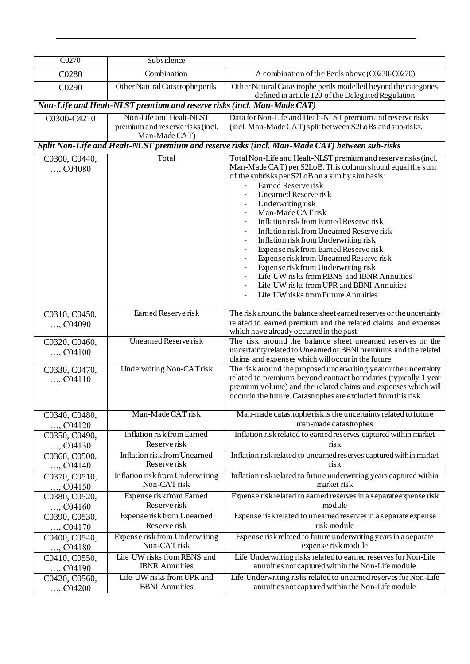| C0270                       | Subsidence                                                             |                                                                                                                                                              |
|-----------------------------|------------------------------------------------------------------------|--------------------------------------------------------------------------------------------------------------------------------------------------------------|
| C0280                       | Combination                                                            | A combination of the Perils above (C0230-C0270)                                                                                                              |
| C0290                       | Other Natural Catstrophe perils                                        | Other Natural Catastrophe perils modelled beyond the categories<br>defined in article 120 of the Delegated Regulation                                        |
|                             | Non-Life and Healt-NLST premium and reserve risks (incl. Man-Made CAT) |                                                                                                                                                              |
| C0300-C4210                 | Non-Life and Healt-NLST                                                | Data for Non-Life and Healt-NLST premium and reserverisks                                                                                                    |
|                             | premium and reserve risks (incl.<br>Man-Made CAT)                      | (incl. Man-Made CAT) split between S2LoBs and sub-risks.                                                                                                     |
|                             |                                                                        | Split Non-Life and Healt-NLST premium and reserve risks (incl. Man-Made CAT) between sub-risks                                                               |
| C0300, C0440,               | Total                                                                  | Total Non-Life and Healt-NLST premium and reserve risks (incl.                                                                                               |
| $,$ C04080                  |                                                                        | Man-Made CAT) per S2LoB. This column should equal the sum<br>of the subrisks per S2LoB on a sim by simbasis:<br>Earned Reserve risk<br>Unearned Reserve risk |
|                             |                                                                        | Underwriting risk                                                                                                                                            |
|                             |                                                                        | Man-Made CAT risk<br>Inflation risk from Earned Reserve risk                                                                                                 |
|                             |                                                                        | Inflation risk from Unearned Reserve risk                                                                                                                    |
|                             |                                                                        | Inflation risk from Underwriting risk                                                                                                                        |
|                             |                                                                        | Expense risk from Earned Reserve risk                                                                                                                        |
|                             |                                                                        | Expense risk from Unearned Reserve risk<br>Expense risk from Underwriting risk                                                                               |
|                             |                                                                        | Life UW risks from RBNS and IBNR Annuities                                                                                                                   |
|                             |                                                                        | Life UW risks from UPR and BBNI Annuities                                                                                                                    |
|                             |                                                                        | Life UW risks from Future Annuities                                                                                                                          |
| C0310, C0450,               | Earned Reserve risk                                                    | The risk around the balance sheet earned reserves or the uncertainty                                                                                         |
| $,$ C04090                  |                                                                        | related to earned premium and the related claims and expenses                                                                                                |
|                             | Unearned Reserve risk                                                  | which have already occurred in the past<br>The risk around the balance sheet unearned reserves or the                                                        |
| C0320, C0460,<br>$,$ C04100 |                                                                        | uncertainty related to Unearned or BBNI premiums and the related                                                                                             |
|                             |                                                                        | claims and expenses which will occur in the future                                                                                                           |
| C0330, C0470,               | <b>Underwriting Non-CATrisk</b>                                        | The risk around the proposed underwriting year or the uncertainty<br>related to premiums beyond contract boundaries (typically 1 year                        |
| $,$ C04110                  |                                                                        | premium volume) and the related claims and expenses which will<br>occur in the future. Catastrophes are excluded from this risk.                             |
| C0340, C0480,               | Man-Made CAT risk                                                      | Man-made catastropherisk is the uncertainty related to future                                                                                                |
| $,$ C04120                  |                                                                        | man-made catastrophes                                                                                                                                        |
| C0350, C0490,               | Inflation risk from Earned<br>Reserve risk                             | Inflation risk related to earned reserves captured within market<br>risk                                                                                     |
| , $C04130$                  | Inflation risk from Unearned                                           | Inflation risk related to unearned reserves captured within market                                                                                           |
| C0360, C0500,<br>, $C04140$ | Reserve risk                                                           | risk                                                                                                                                                         |
| C0370, C0510,               | Inflation risk from Underwriting                                       | Inflation risk related to future underwriting years captured within                                                                                          |
| $,$ C04150                  | Non-CAT risk                                                           | market risk                                                                                                                                                  |
| C0380, C0520,               | Expense risk from Earned                                               | Expense risk related to earned reserves in a separate expense risk                                                                                           |
| $,$ C04160                  | Reserve risk<br>Expense risk from Unearned                             | module                                                                                                                                                       |
| C0390, C0530,<br>$,$ C04170 | Reserve risk                                                           | Expense risk related to unearned reserves in a separate expense<br>risk module                                                                               |
| C0400, C0540,               | Expense risk from Underwriting                                         | Expense risk related to future underwriting years in a separate                                                                                              |
| $,$ C04180                  | Non-CAT risk                                                           | expense risk module                                                                                                                                          |
| C0410, C0550,<br>, $C04190$ | Life UW risks from RBNS and<br><b>IBNR</b> Annuities                   | Life Underwriting risks related to earned reserves for Non-Life<br>annuities not captured within the Non-Life module                                         |
| C0420, C0560,               | Life UW risks from UPR and                                             | Life Underwriting risks related to unearned reserves for Non-Life                                                                                            |
| $,$ C04200                  | <b>BBNI</b> Annuities                                                  | annuities not captured within the Non-Life module                                                                                                            |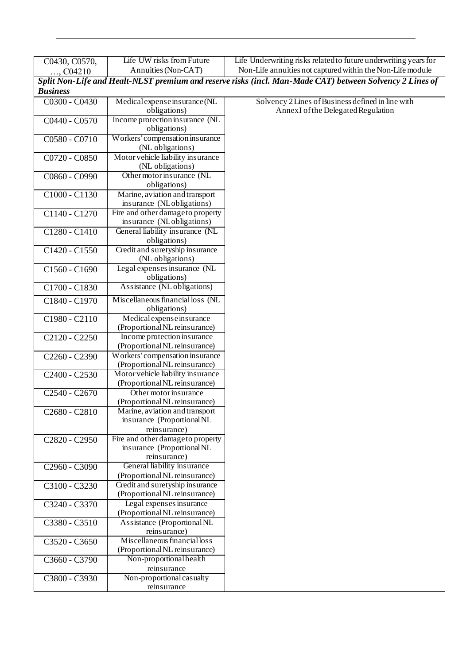| C0430, C0570,                         | Life UW risks from Future         | Life Underwriting risks related to future underwriting years for                                         |
|---------------------------------------|-----------------------------------|----------------------------------------------------------------------------------------------------------|
| $,$ C04210                            | Annuities (Non-CAT)               | Non-Life annuities not captured within the Non-Life module                                               |
|                                       |                                   | Split Non-Life and Healt-NLST premium and reserve risks (incl. Man-Made CAT) between Solvency 2 Lines of |
| <b>Business</b>                       |                                   |                                                                                                          |
| C0300 - C0430                         | Medical expense insurance (NL     | Solvency 2 Lines of Business defined in line with                                                        |
|                                       | obligations)                      | Annex I of the Delegated Regulation                                                                      |
|                                       |                                   |                                                                                                          |
| C0440 - C0570                         | Income protection insurance (NL   |                                                                                                          |
|                                       | obligations)                      |                                                                                                          |
| C0580 - C0710                         | Workers' compensation insurance   |                                                                                                          |
|                                       | (NL obligations)                  |                                                                                                          |
| C0720 - C0850                         | Motor vehicle liability insurance |                                                                                                          |
|                                       | (NL obligations)                  |                                                                                                          |
| C0860 - C0990                         | Other motor insurance (NL         |                                                                                                          |
|                                       | obligations)                      |                                                                                                          |
| C1000 - C1130                         | Marine, aviation and transport    |                                                                                                          |
|                                       | insurance (NLobligations)         |                                                                                                          |
| C1140 - C1270                         | Fire and other damage to property |                                                                                                          |
|                                       | insurance (NLobligations)         |                                                                                                          |
| C1280 - C1410                         | General liability insurance (NL   |                                                                                                          |
|                                       | obligations)                      |                                                                                                          |
|                                       | Credit and suretyship insurance   |                                                                                                          |
| C1420 - C1550                         | (NL obligations)                  |                                                                                                          |
|                                       |                                   |                                                                                                          |
| C1560 - C1690                         | Legal expenses insurance (NL      |                                                                                                          |
|                                       | obligations)                      |                                                                                                          |
| C1700 - C1830                         | Assistance (NL obligations)       |                                                                                                          |
| C1840 - C1970                         | Miscellaneous financial loss (NL  |                                                                                                          |
|                                       | obligations)                      |                                                                                                          |
| C1980 - C2110                         | Medical expense insurance         |                                                                                                          |
|                                       | (Proportional NL reinsurance)     |                                                                                                          |
| $C2120 - C2250$                       | Income protection insurance       |                                                                                                          |
|                                       | (Proportional NL reinsurance)     |                                                                                                          |
|                                       | Workers' compensation in surance  |                                                                                                          |
| C2260 - C2390                         |                                   |                                                                                                          |
|                                       | (Proportional NL reinsurance)     |                                                                                                          |
| $C2400 - C2530$                       | Motor vehicle liability insurance |                                                                                                          |
|                                       | (Proportional NL reinsurance)     |                                                                                                          |
| C <sub>2540</sub> - C <sub>2670</sub> | Other motor insurance             |                                                                                                          |
|                                       | (Proportional NL reinsurance)     |                                                                                                          |
| C2680 - C2810                         | Marine, aviation and transport    |                                                                                                          |
|                                       | insurance (Proportional NL        |                                                                                                          |
|                                       | reinsurance)                      |                                                                                                          |
| C2820 - C2950                         | Fire and other damage to property |                                                                                                          |
|                                       | insurance (Proportional NL        |                                                                                                          |
|                                       | reinsurance)                      |                                                                                                          |
| C2960 - C3090                         | General liability insurance       |                                                                                                          |
|                                       | (Proportional NL reinsurance)     |                                                                                                          |
| C3100 - C3230                         | Credit and suretyship insurance   |                                                                                                          |
|                                       | (Proportional NL reinsurance)     |                                                                                                          |
| C3240 - C3370                         | Legal expenses insurance          |                                                                                                          |
|                                       | (Proportional NL reinsurance)     |                                                                                                          |
| C3380 - C3510                         | Assistance (Proportional NL       |                                                                                                          |
|                                       | reinsurance)                      |                                                                                                          |
|                                       | Miscellaneous financial loss      |                                                                                                          |
| C3520 - C3650                         |                                   |                                                                                                          |
|                                       | (Proportional NL reinsurance)     |                                                                                                          |
| C3660 - C3790                         | Non-proportional health           |                                                                                                          |
|                                       | reinsurance                       |                                                                                                          |
| C3800 - C3930                         | Non-proportional casualty         |                                                                                                          |
|                                       | reinsurance                       |                                                                                                          |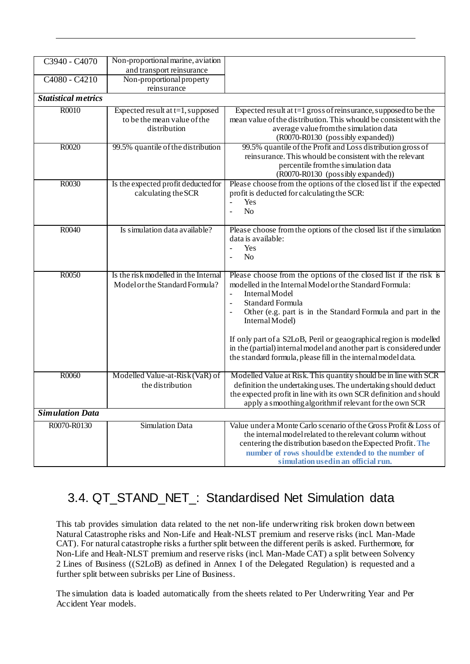| C3940 - C4070              | Non-proportional marine, aviation                                                  |                                                                                                                                                                                                                                                                                                                                                                                                                                                                    |
|----------------------------|------------------------------------------------------------------------------------|--------------------------------------------------------------------------------------------------------------------------------------------------------------------------------------------------------------------------------------------------------------------------------------------------------------------------------------------------------------------------------------------------------------------------------------------------------------------|
|                            | and transport reinsurance                                                          |                                                                                                                                                                                                                                                                                                                                                                                                                                                                    |
| C4080 - C4210              | Non-proportional property<br>reinsurance                                           |                                                                                                                                                                                                                                                                                                                                                                                                                                                                    |
| <b>Statistical metrics</b> |                                                                                    |                                                                                                                                                                                                                                                                                                                                                                                                                                                                    |
| R0010                      | Expected result at $t=1$ , supposed<br>to be the mean value of the<br>distribution | Expected result at t=1 gross of reinsurance, supposed to be the<br>mean value of the distribution. This whould be consistent with the<br>average value from the simulation data<br>(R0070-R0130 (possibly expanded))                                                                                                                                                                                                                                               |
| R0020                      | 99.5% quantile of the distribution                                                 | 99.5% quantile of the Profit and Loss distribution gross of<br>reinsurance. This whould be consistent with the relevant<br>percentile from the simulation data<br>(R0070-R0130 (possibly expanded))                                                                                                                                                                                                                                                                |
| R0030                      | Is the expected profit deducted for<br>calculating the SCR                         | Please choose from the options of the closed list if the expected<br>profit is deducted for calculating the SCR:<br>$\overline{\phantom{a}}$<br>Yes<br>N <sub>o</sub><br>$\overline{\phantom{a}}$                                                                                                                                                                                                                                                                  |
| R0040                      | Is simulation data available?                                                      | Please choose from the options of the closed list if the simulation<br>data is available:<br>Yes<br>$\blacksquare$<br>N <sub>o</sub><br>$\blacksquare$                                                                                                                                                                                                                                                                                                             |
| R0050                      | Is the risk modelled in the Internal<br>Model or the Standard Formula?             | Please choose from the options of the closed list if the risk is<br>modelled in the Internal Model or the Standard Formula:<br>Internal Model<br>Standard Formula<br>Other (e.g. part is in the Standard Formula and part in the<br>Internal Model)<br>If only part of a S2LoB, Peril or geaographical region is modelled<br>in the (partial) internal model and another part is considered under<br>the standard formula, please fill in the internal model data. |
| R0060                      | Modelled Value-at-Risk (VaR) of<br>the distribution                                | Modelled Value at Risk. This quantity should be in line with SCR<br>definition the undertaking uses. The undertaking should deduct<br>the expected profit in line with its own SCR definition and should<br>apply a smoothing algorithmif relevant for the own SCR                                                                                                                                                                                                 |
| <b>Simulation Data</b>     |                                                                                    |                                                                                                                                                                                                                                                                                                                                                                                                                                                                    |
| R0070-R0130                | <b>Simulation Data</b>                                                             | Value under a Monte Carlo scenario of the Gross Profit & Loss of<br>the internal model related to the relevant column without<br>centering the distribution based on the Expected Profit. The<br>number of rows should be extended to the number of<br>simulation used in an official run.                                                                                                                                                                         |

## <span id="page-21-0"></span>3.4. QT\_STAND\_NET\_: Standardised Net Simulation data

This tab provides simulation data related to the net non-life underwriting risk broken down between Natural Catastrophe risks and Non-Life and Healt-NLST premium and reserve risks (incl. Man-Made CAT). For natural catastrophe risks a further split between the different perils is asked. Furthermore, for Non-Life and Healt-NLST premium and reserve risks (incl. Man-Made CAT) a split between Solvency 2 Lines of Business ((S2LoB) as defined in Annex I of the Delegated Regulation) is requested and a further split between subrisks per Line of Business.

The simulation data is loaded automatically from the sheets related to Per Underwriting Year and Per Accident Year models.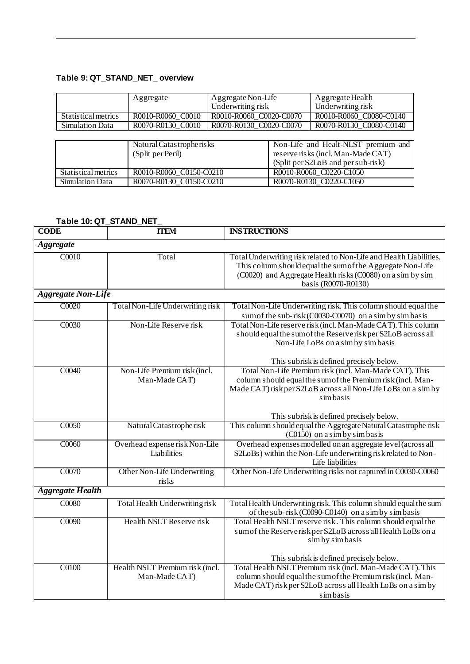## <span id="page-22-0"></span>**Table 9: QT\_STAND\_NET\_ overview**

|                        | Aggregate                | Aggregate Non-Life      | Aggregate Health                    |
|------------------------|--------------------------|-------------------------|-------------------------------------|
|                        |                          | Underwriting risk       | Underwriting risk                   |
| Statistical metrics    | R0010-R0060 C0010        | R0010-R0060_C0020-C0070 | R0010-R0060 C0080-C0140             |
| <b>Simulation Data</b> | R0070-R0130 C0010        | R0070-R0130 C0020-C0070 | R0070-R0130 C0080-C0140             |
|                        |                          |                         |                                     |
|                        | Natural Catastropherisks |                         | Non-Life and Healt-NLST premium and |
|                        | (Split per Peril)        |                         | reserve risks (incl. Man-Made CAT)  |
|                        |                          |                         | (Split per S2LoB and per sub-risk)  |
| Statistical metrics    | R0010-R0060 C0150-C0210  |                         | R0010-R0060 C0220-C1050             |
| Simulation Data        | R0070-R0130 C0150-C0210  |                         | R0070-R0130 C0220-C1050             |

## <span id="page-22-1"></span>**Table 10: QT\_STAND\_NET\_**

| <b>CODE</b>               | <b>TTEM</b>                                      | <b>INSTRUCTIONS</b>                                                                                                                                                                                                    |
|---------------------------|--------------------------------------------------|------------------------------------------------------------------------------------------------------------------------------------------------------------------------------------------------------------------------|
| <b>Aggregate</b>          |                                                  |                                                                                                                                                                                                                        |
| C0010                     | Total                                            | Total Underwriting risk related to Non-Life and Health Liabilities.<br>This column should equal the sum of the Aggregate Non-Life<br>(C0020) and Aggregate Health risks (C0080) on a sim by sim<br>basis (R0070-R0130) |
| <b>Aggregate Non-Life</b> |                                                  |                                                                                                                                                                                                                        |
| C0020                     | Total Non-Life Underwriting risk                 | Total Non-Life Underwriting risk. This column should equal the<br>sum of the sub-risk (C0030-C0070) on a sim by simbasis                                                                                               |
| C0030                     | Non-Life Reserve risk                            | Total Non-Life reserve risk (incl. Man-Made CAT). This column<br>should equal the sum of the Reserverisk per S2LoB across all<br>Non-Life LoBs on a sim by simbasis                                                    |
| C0040                     | Non-Life Premium risk (incl.                     | This subrisk is defined precisely below.<br>Total Non-Life Premium risk (incl. Man-Made CAT). This                                                                                                                     |
|                           | Man-Made CAT)                                    | column should equal the sum of the Premium risk (incl. Man-<br>Made CAT) risk per S2LoB across all Non-Life LoBs on a sim by<br>sim basis                                                                              |
|                           |                                                  | This subrisk is defined precisely below.                                                                                                                                                                               |
| C0050                     | Natural Catastropherisk                          | This column should equal the Aggregate Natural Catastrophe risk<br>(C0150) on a sim by simbasis                                                                                                                        |
| C0060                     | Overhead expense risk Non-Life<br>Liabilities    | Overhead expenses modelled on an aggregate level (across all<br>S2LoBs) within the Non-Life underwriting risk related to Non-<br>Life liabilities                                                                      |
| C0070                     | Other Non-Life Underwriting<br>risks             | Other Non-Life Underwriting risks not captured in C0030-C0060                                                                                                                                                          |
| <b>Aggregate Health</b>   |                                                  |                                                                                                                                                                                                                        |
| C0080                     | Total Health Underwriting risk                   | Total Health Underwriting risk. This column should equal the sum<br>of the sub-risk (C0090-C0140) on a sim by simbasis                                                                                                 |
| C0090                     | Health NSLT Reserve risk                         | Total Health NSLT reserve risk. This column should equal the<br>sum of the Reserverisk per S2LoB across all Health LoBs on a<br>sim by simbasis<br>This subrisk is defined precisely below.                            |
| C0100                     | Health NSLT Premium risk (incl.<br>Man-Made CAT) | Total Health NSLT Premium risk (incl. Man-Made CAT). This<br>column should equal the sum of the Premium risk (incl. Man-<br>Made CAT) risk per S2LoB across all Health LoBs on a sim by<br>simbasis                    |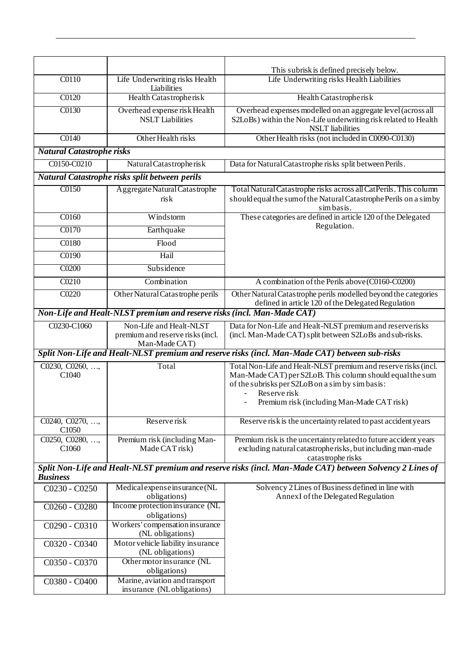|                                                                        |                                                                              | This subrisk is defined precisely below.                                                                                                                                                                                                     |
|------------------------------------------------------------------------|------------------------------------------------------------------------------|----------------------------------------------------------------------------------------------------------------------------------------------------------------------------------------------------------------------------------------------|
| C0110                                                                  | Life Underwriting risks Health<br>Liabilities                                | Life Underwriting risks Health Liabilities                                                                                                                                                                                                   |
| C0120                                                                  | Health Catastropherisk                                                       | Health Catastropherisk                                                                                                                                                                                                                       |
| C0130                                                                  | Overhead expense risk Health<br><b>NSLT</b> Liabilities                      | Overhead expenses modelled on an aggregate level (across all<br>S2LoBs) within the Non-Life underwriting risk related to Health<br><b>NSLT</b> liabilities                                                                                   |
| C0140                                                                  | Other Health risks                                                           | Other Health risks (not included in C0090-C0130)                                                                                                                                                                                             |
| <b>Natural Catastrophe risks</b>                                       |                                                                              |                                                                                                                                                                                                                                              |
| C0150-C0210                                                            | Natural Catastropherisk                                                      | Data for Natural Catastrophe risks split between Perils.                                                                                                                                                                                     |
|                                                                        | Natural Catastrophe risks split between perils                               |                                                                                                                                                                                                                                              |
| C0150                                                                  | Aggregate Natural Catastrophe<br>risk                                        | Total Natural Catastrophe risks across all CatPerils. This column<br>should equal the sum of the Natural Catastrophe Perils on a simby<br>simbasis.                                                                                          |
| $\overline{C0160}$                                                     | Windstorm                                                                    | These categories are defined in article 120 of the Delegated                                                                                                                                                                                 |
| C0170                                                                  | Earthquake                                                                   | Regulation.                                                                                                                                                                                                                                  |
| C0180                                                                  | Flood                                                                        |                                                                                                                                                                                                                                              |
| C0190                                                                  | Hail                                                                         |                                                                                                                                                                                                                                              |
| C0200                                                                  | Subsidence                                                                   |                                                                                                                                                                                                                                              |
| C0210                                                                  | Combination                                                                  | A combination of the Perils above (C0160-C0200)                                                                                                                                                                                              |
| C0220                                                                  | Other Natural Catastrophe perils                                             | Other Natural Catastrophe perils modelled beyond the categories<br>defined in article 120 of the Delegated Regulation                                                                                                                        |
| Non-Life and Healt-NLST premium and reserve risks (incl. Man-Made CAT) |                                                                              |                                                                                                                                                                                                                                              |
| C0230-C1060                                                            | Non-Life and Healt-NLST<br>premium and reserve risks (incl.<br>Man-Made CAT) | Data for Non-Life and Healt-NLST premium and reserverisks<br>(incl. Man-Made CAT) split between S2LoBs and sub-risks.                                                                                                                        |
|                                                                        |                                                                              | Split Non-Life and Healt-NLST premium and reserve risks (incl. Man-Made CAT) between sub-risks                                                                                                                                               |
| C0230, C0260, ,<br>C1040                                               | Total                                                                        | Total Non-Life and Healt-NLST premium and reserve risks (incl.<br>Man-Made CAT) per S2LoB. This column should equal the sum<br>of the subrisks per S2LoB on a sim by simbasis:<br>Reserve risk<br>Premium risk (including Man-Made CAT risk) |
| C0240, C0270, ,<br>C1050                                               | Reserve risk                                                                 | Reserve risk is the uncertainty related to past accident years                                                                                                                                                                               |
| C0250, C0280, ,<br>C <sub>1060</sub>                                   | Premium risk (including Man-<br>Made CAT risk)                               | Premium risk is the uncertainty related to future accident years<br>excluding natural catastropherisks, but including man-made<br>catastrophe risks                                                                                          |
| <b>Business</b>                                                        |                                                                              | Split Non-Life and Healt-NLST premium and reserve risks (incl. Man-Made CAT) between Solvency 2 Lines of                                                                                                                                     |
| C0230 - C0250                                                          | Medical expense insurance (NL<br>obligations)                                | Solvency 2 Lines of Business defined in line with<br>AnnexI of the Delegated Regulation                                                                                                                                                      |
| C0260 - C0280                                                          | Income protection insurance (NL<br>obligations)                              |                                                                                                                                                                                                                                              |
| C0290 - C0310                                                          | Workers' compensation insurance<br>(NL obligations)                          |                                                                                                                                                                                                                                              |
| C0320 - C0340                                                          | Motor vehicle liability insurance<br>(NL obligations)                        |                                                                                                                                                                                                                                              |
| C0350 - C0370                                                          | Other motor insurance (NL<br>obligations)                                    |                                                                                                                                                                                                                                              |
| C0380 - C0400                                                          | Marine, aviation and transport<br>insurance (NLobligations)                  |                                                                                                                                                                                                                                              |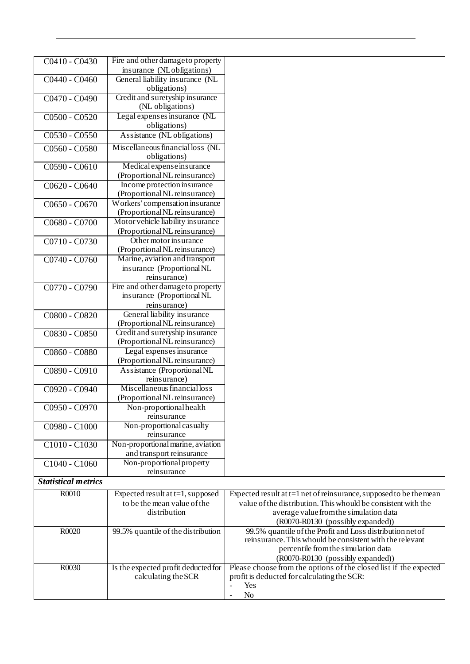| C0410 - C0430              | Fire and other damage to property                                |                                                                                                |
|----------------------------|------------------------------------------------------------------|------------------------------------------------------------------------------------------------|
|                            | insurance (NLobligations)                                        |                                                                                                |
| $C0440 - C0460$            | General liability insurance (NL<br>obligations)                  |                                                                                                |
| C0470 - C0490              | Credit and suretyship insurance<br>(NL obligations)              |                                                                                                |
| C0500 - C0520              | Legal expenses insurance (NL                                     |                                                                                                |
|                            | obligations)                                                     |                                                                                                |
| $C0530 - C0550$            | Assistance (NL obligations)                                      |                                                                                                |
| C0560 - C0580              | Miscellaneous financial loss (NL<br>obligations)                 |                                                                                                |
| C0590 - C0610              | Medical expense insurance                                        |                                                                                                |
|                            | (Proportional NL reinsurance)                                    |                                                                                                |
| C0620 - C0640              | Income protection insurance                                      |                                                                                                |
|                            | (Proportional NL reinsurance)                                    |                                                                                                |
| C0650 - C0670              | Workers' compensation insurance<br>(Proportional NL reinsurance) |                                                                                                |
| C0680 - C0700              | Motor vehicle liability insurance                                |                                                                                                |
|                            | (Proportional NL reinsurance)                                    |                                                                                                |
| C0710 - C0730              | Other motor insurance<br>(Proportional NL reinsurance)           |                                                                                                |
| C0740 - C0760              | Marine, aviation and transport                                   |                                                                                                |
|                            | insurance (Proportional NL                                       |                                                                                                |
|                            | reinsurance)                                                     |                                                                                                |
| C0770 - C0790              | Fire and other damage to property                                |                                                                                                |
|                            | insurance (Proportional NL                                       |                                                                                                |
|                            | reinsurance)                                                     |                                                                                                |
| C0800 - C0820              | General liability insurance<br>(Proportional NL reinsurance)     |                                                                                                |
| C0830 - C0850              | Credit and suretyship insurance                                  |                                                                                                |
|                            | (Proportional NL reinsurance)                                    |                                                                                                |
| C0860 - C0880              | Legal expenses insurance                                         |                                                                                                |
|                            | (Proportional NL reinsurance)                                    |                                                                                                |
| C0890 - C0910              | Assistance (Proportional NL<br>reinsurance)                      |                                                                                                |
|                            | Miscellaneous financial loss                                     |                                                                                                |
| C0920 - C0940              | (Proportional NL reinsurance)                                    |                                                                                                |
| $C0950 - C0970$            | Non-proportional health                                          |                                                                                                |
|                            | reinsurance                                                      |                                                                                                |
| C0980 - C1000              | Non-proportional casualty                                        |                                                                                                |
|                            | reinsurance                                                      |                                                                                                |
| C1010 - C1030              | Non-proportional marine, aviation                                |                                                                                                |
|                            | and transport reinsurance                                        |                                                                                                |
| C1040 - C1060              | Non-proportional property                                        |                                                                                                |
| <b>Statistical metrics</b> | reinsurance                                                      |                                                                                                |
|                            |                                                                  |                                                                                                |
| R0010                      | Expected result at $t=1$ , supposed                              | Expected result at $t=1$ net of reinsurance, supposed to be the mean                           |
|                            | to be the mean value of the<br>distribution                      | value of the distribution. This whould be consistent with the                                  |
|                            |                                                                  | average value from the simulation data                                                         |
| R0020                      | 99.5% quantile of the distribution                               | (R0070-R0130 (possibly expanded))<br>99.5% quantile of the Profit and Loss distribution net of |
|                            |                                                                  | reinsurance. This whould be consistent with the relevant                                       |
|                            |                                                                  | percentile from the simulation data                                                            |
|                            |                                                                  | (R0070-R0130 (possibly expanded))                                                              |
| R0030                      | Is the expected profit deducted for                              | Please choose from the options of the closed list if the expected                              |
|                            | calculating the SCR                                              | profit is deducted for calculating the SCR:                                                    |
|                            |                                                                  | Yes<br>$\overline{a}$                                                                          |
|                            |                                                                  | No<br>$\blacksquare$                                                                           |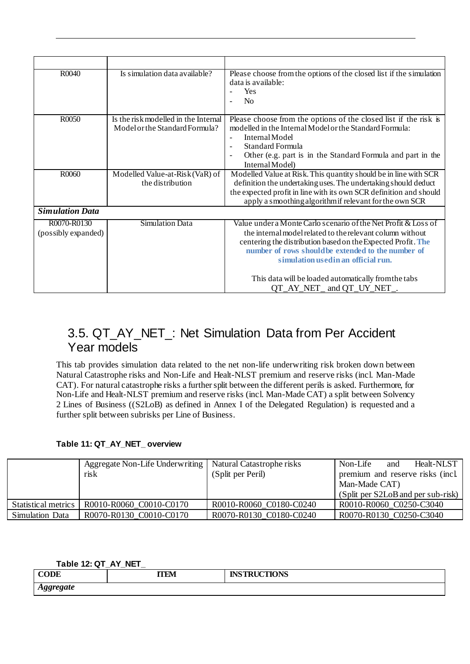| R0040                              | Is simulation data available?                                          | Please choose from the options of the closed list if the simulation<br>data is available:<br>Yes<br>N <sub>o</sub>                                                                                                                                                                                          |
|------------------------------------|------------------------------------------------------------------------|-------------------------------------------------------------------------------------------------------------------------------------------------------------------------------------------------------------------------------------------------------------------------------------------------------------|
| R0050                              | Is the risk modelled in the Internal<br>Model or the Standard Formula? | Please choose from the options of the closed list if the risk is<br>modelled in the Internal Model or the Standard Formula:<br>Internal Model<br>Standard Formula<br>$\overline{\phantom{a}}$<br>Other (e.g. part is in the Standard Formula and part in the<br>$\overline{\phantom{a}}$<br>Internal Model) |
| R0060                              | Modelled Value-at-Risk (VaR) of<br>the distribution                    | Modelled Value at Risk. This quantity should be in line with SCR<br>definition the undertaking uses. The undertaking should deduct<br>the expected profit in line with its own SCR definition and should<br>apply a smoothing algorithmif relevant for the own SCR                                          |
| <b>Simulation Data</b>             |                                                                        |                                                                                                                                                                                                                                                                                                             |
| R0070-R0130<br>(possibly expanded) | <b>Simulation Data</b>                                                 | Value under a Monte Carlo scenario of the Net Profit & Loss of<br>the internal model related to the relevant column without<br>centering the distribution based on the Expected Profit. The<br>number of rows should be extended to the number of<br>simulation used in an official run.                    |
|                                    |                                                                        | This data will be loaded automatically from the tabs<br>QT_AY_NET_ and QT_UY_NET_.                                                                                                                                                                                                                          |

## <span id="page-25-0"></span>3.5. QT\_AY\_NET\_: Net Simulation Data from Per Accident Year models

This tab provides simulation data related to the net non-life underwriting risk broken down between Natural Catastrophe risks and Non-Life and Healt-NLST premium and reserve risks (incl. Man-Made CAT). For natural catastrophe risks a further split between the different perils is asked. Furthermore, for Non-Life and Healt-NLST premium and reserve risks (incl. Man-Made CAT) a split between Solvency 2 Lines of Business ((S2LoB) as defined in Annex I of the Delegated Regulation) is requested and a further split between subrisks per Line of Business.

### <span id="page-25-1"></span>**Table 11: QT\_AY\_NET\_ overview**

|                        | Aggregate Non-Life Underwriting<br>risk | Natural Catastrophe risks<br>(Split per Peril) | Non-Life<br>Healt-NLST<br>and<br>premium and reserve risks (incl.<br>Man-Made CAT) |
|------------------------|-----------------------------------------|------------------------------------------------|------------------------------------------------------------------------------------|
|                        |                                         |                                                | (Split per S2LoB and per sub-risk)                                                 |
| Statistical metrics    | R0010-R0060 C0010-C0170                 | R0010-R0060 C0180-C0240                        | R0010-R0060 C0250-C3040                                                            |
| <b>Simulation Data</b> | R0070-R0130_C0010-C0170                 | R0070-R0130 C0180-C0240                        | R0070-R0130 C0250-C3040                                                            |

### <span id="page-25-2"></span>**Table 12: QT\_AY\_NET\_**

| <b>CODE</b>      | <b>ITEM</b> | <b>INSTRUCTIONS</b> |
|------------------|-------------|---------------------|
| <b>Aggregate</b> |             |                     |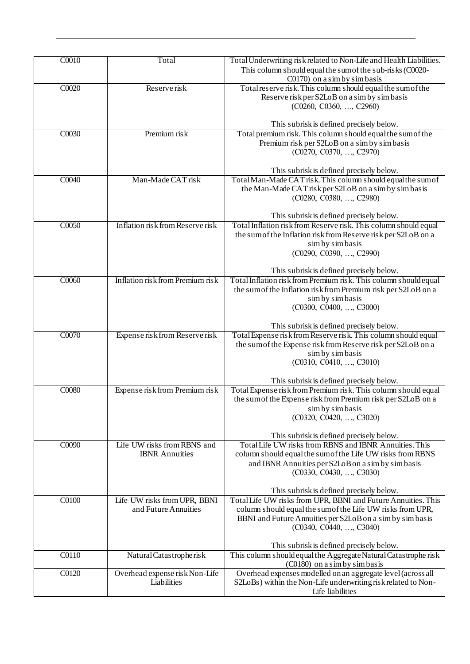| C0010              | Total                            | Total Underwriting risk related to Non-Life and Health Liabilities.<br>This column should equal the sum of the sub-risks (C0020- |
|--------------------|----------------------------------|----------------------------------------------------------------------------------------------------------------------------------|
|                    |                                  | C0170) on a sim by simbasis                                                                                                      |
| CO <sub>020</sub>  | Reserve risk                     | Total reserve risk. This column should equal the sum of the                                                                      |
|                    |                                  | Reserve risk per S2LoB on a sim by simbasis                                                                                      |
|                    |                                  | (C0260, C0360, , C2960)                                                                                                          |
|                    |                                  | This subrisk is defined precisely below.                                                                                         |
| C0030              | Premium risk                     | Total premium risk. This column should equal the sum of the                                                                      |
|                    |                                  | Premium risk per S2LoB on a sim by simbasis                                                                                      |
|                    |                                  | (C0270, C0370, , C2970)                                                                                                          |
|                    |                                  |                                                                                                                                  |
|                    |                                  | This subrisk is defined precisely below.                                                                                         |
| $\overline{CO040}$ | Man-Made CAT risk                | Total Man-Made CAT risk. This column should equal the sum of                                                                     |
|                    |                                  | the Man-Made CAT risk per S2LoB on a sim by simbasis                                                                             |
|                    |                                  | (C0280, C0380, , C2980)                                                                                                          |
|                    |                                  | This subrisk is defined precisely below.                                                                                         |
| C0050              | Inflation risk from Reserve risk | Total Inflation risk from Reserve risk. This column should equal                                                                 |
|                    |                                  | the sum of the Inflation risk from Reserve risk per S2LoB on a                                                                   |
|                    |                                  | sim by simbasis                                                                                                                  |
|                    |                                  | (C0290, C0390, , C2990)                                                                                                          |
|                    |                                  | This subrisk is defined precisely below.                                                                                         |
| C0060              | Inflation risk from Premium risk | Total Inflation risk from Premium risk. This column should equal                                                                 |
|                    |                                  | the sum of the Inflation risk from Premium risk per S2LoB on a                                                                   |
|                    |                                  | sim by simbasis                                                                                                                  |
|                    |                                  | (C0300, C0400, , C3000)                                                                                                          |
|                    |                                  | This subrisk is defined precisely below.                                                                                         |
| C0070              | Expense risk from Reserve risk   | Total Expense risk from Reserve risk. This column should equal                                                                   |
|                    |                                  | the sum of the Expense risk from Reserve risk per S2LoB on a                                                                     |
|                    |                                  | sim by simbasis                                                                                                                  |
|                    |                                  | (C0310, C0410, , C3010)                                                                                                          |
|                    |                                  | This subrisk is defined precisely below.                                                                                         |
| C0080              | Expense risk from Premium risk   | Total Expense risk from Premium risk. This column should equal                                                                   |
|                    |                                  | the sum of the Expense risk from Premium risk per S2LoB on a                                                                     |
|                    |                                  | sim by simbasis                                                                                                                  |
|                    |                                  | (C0320, C0420, , C3020)                                                                                                          |
|                    |                                  | This subrisk is defined precisely below.                                                                                         |
| C0090              | Life UW risks from RBNS and      | Total Life UW risks from RBNS and IBNR Annuities. This                                                                           |
|                    | <b>IBNR</b> Annuities            | column should equal the sum of the Life UW risks from RBNS                                                                       |
|                    |                                  | and IBNR Annuities per S2LoB on a sim by simbasis                                                                                |
|                    |                                  | (C0330, C0430, , C3030)                                                                                                          |
|                    |                                  | This subrisk is defined precisely below.                                                                                         |
| $\overline{C0100}$ | Life UW risks from UPR, BBNI     | Total Life UW risks from UPR, BBNI and Future Annuities. This                                                                    |
|                    | and Future Annuities             | column should equal the sum of the Life UW risks from UPR,                                                                       |
|                    |                                  | BBNI and Future Annuities per S2LoB on a sim by simbasis                                                                         |
|                    |                                  | (C0340, C0440, , C3040)                                                                                                          |
|                    |                                  | This subrisk is defined precisely below.                                                                                         |
| C0110              | Natural Catastropherisk          | This column should equal the Aggregate Natural Catastrophe risk                                                                  |
|                    |                                  | (C0180) on a sim by simbasis                                                                                                     |
| C0120              | Overhead expense risk Non-Life   | Overhead expenses modelled on an aggregate level (across all                                                                     |
|                    | Liabilities                      | S2LoBs) within the Non-Life underwriting risk related to Non-                                                                    |
|                    |                                  | Life liabilities                                                                                                                 |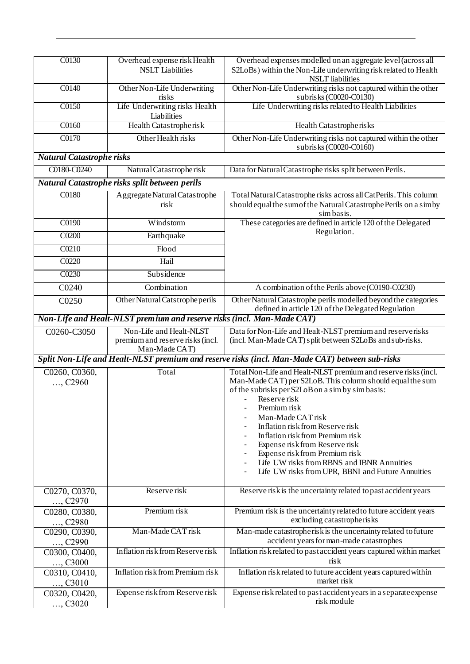| C0130                                                                                          | Overhead expense risk Health<br><b>NSLT</b> Liabilities                      | Overhead expenses modelled on an aggregate level (across all<br>S2LoBs) within the Non-Life underwriting risk related to Health<br><b>NSLT</b> liabilities                                                                                                                                                                                                                                                                                                                                          |  |
|------------------------------------------------------------------------------------------------|------------------------------------------------------------------------------|-----------------------------------------------------------------------------------------------------------------------------------------------------------------------------------------------------------------------------------------------------------------------------------------------------------------------------------------------------------------------------------------------------------------------------------------------------------------------------------------------------|--|
| C0140                                                                                          | Other Non-Life Underwriting<br>risks                                         | Other Non-Life Underwriting risks not captured within the other<br>subrisks (C0020-C0130)                                                                                                                                                                                                                                                                                                                                                                                                           |  |
| C0150                                                                                          | Life Underwriting risks Health<br>Liabilities                                | Life Underwriting risks related to Health Liabilities                                                                                                                                                                                                                                                                                                                                                                                                                                               |  |
| $\overline{C0160}$                                                                             | Health Catastropherisk                                                       | Health Catastropherisks                                                                                                                                                                                                                                                                                                                                                                                                                                                                             |  |
| C0170                                                                                          | Other Health risks                                                           | Other Non-Life Underwriting risks not captured within the other<br>subrisks (C0020-C0160)                                                                                                                                                                                                                                                                                                                                                                                                           |  |
| <b>Natural Catastrophe risks</b>                                                               |                                                                              |                                                                                                                                                                                                                                                                                                                                                                                                                                                                                                     |  |
| C0180-C0240                                                                                    | Natural Catastropherisk                                                      | Data for Natural Catastrophe risks split between Perils.                                                                                                                                                                                                                                                                                                                                                                                                                                            |  |
|                                                                                                | Natural Catastrophe risks split between perils                               |                                                                                                                                                                                                                                                                                                                                                                                                                                                                                                     |  |
| C0180                                                                                          | Aggregate Natural Catastrophe<br>risk                                        | Total Natural Catastrophe risks across all CatPerils. This column<br>should equal the sum of the Natural Catastrophe Perils on a simby<br>simbasis.                                                                                                                                                                                                                                                                                                                                                 |  |
| C0190                                                                                          | Windstorm                                                                    | These categories are defined in article 120 of the Delegated                                                                                                                                                                                                                                                                                                                                                                                                                                        |  |
| C0200                                                                                          | Earthquake                                                                   | Regulation.                                                                                                                                                                                                                                                                                                                                                                                                                                                                                         |  |
| C0210                                                                                          | Flood                                                                        |                                                                                                                                                                                                                                                                                                                                                                                                                                                                                                     |  |
| C0220                                                                                          | Hail                                                                         |                                                                                                                                                                                                                                                                                                                                                                                                                                                                                                     |  |
| C0230                                                                                          | Subsidence                                                                   |                                                                                                                                                                                                                                                                                                                                                                                                                                                                                                     |  |
| C0240                                                                                          | Combination                                                                  | A combination of the Perils above (C0190-C0230)                                                                                                                                                                                                                                                                                                                                                                                                                                                     |  |
| C0250                                                                                          | Other Natural Catstrophe perils                                              | Other Natural Catastrophe perils modelled beyond the categories<br>defined in article 120 of the Delegated Regulation                                                                                                                                                                                                                                                                                                                                                                               |  |
| Non-Life and Healt-NLST premium and reserve risks (incl. Man-Made CAT)                         |                                                                              |                                                                                                                                                                                                                                                                                                                                                                                                                                                                                                     |  |
| C0260-C3050                                                                                    | Non-Life and Healt-NLST<br>premium and reserve risks (incl.<br>Man-Made CAT) | Data for Non-Life and Healt-NLST premium and reserverisks<br>(incl. Man-Made CAT) split between S2LoBs and sub-risks.                                                                                                                                                                                                                                                                                                                                                                               |  |
| Split Non-Life and Healt-NLST premium and reserve risks (incl. Man-Made CAT) between sub-risks |                                                                              |                                                                                                                                                                                                                                                                                                                                                                                                                                                                                                     |  |
| C0260, C0360,<br>, C2960                                                                       | Total                                                                        | Total Non-Life and Healt-NLST premium and reserve risks (incl.<br>Man-Made CAT) per S2LoB. This column should equal the sum<br>of the subrisks per S2LoB on a sim by simbasis:<br>Reserve risk<br>$\blacksquare$<br>Premum rısk<br>Man-Made CAT risk<br>Inflation risk from Reserve risk<br>Inflation risk from Premium risk<br>Expense risk from Reserve risk<br>Expense risk from Premium risk<br>Life UW risks from RBNS and IBNR Annuities<br>Life UW risks from UPR, BBNI and Future Annuities |  |
| C0270, C0370,<br>, $C2970$                                                                     | Reserve risk                                                                 | Reserve risk is the uncertainty related to past accident years                                                                                                                                                                                                                                                                                                                                                                                                                                      |  |
| C0280, C0380,<br>, C2980                                                                       | Premium risk                                                                 | Premium risk is the uncertainty related to future accident years<br>excluding catastropherisks                                                                                                                                                                                                                                                                                                                                                                                                      |  |
| C0290, C0390,<br>, C2990                                                                       | Man-Made CAT risk                                                            | Man-made catastropherisk is the uncertainty related to future<br>accident years for man-made catastrophes                                                                                                                                                                                                                                                                                                                                                                                           |  |
| C0300, C0400,<br>, C3000                                                                       | Inflation risk from Reserve risk                                             | Inflation risk related to past accident years captured within market<br>risk                                                                                                                                                                                                                                                                                                                                                                                                                        |  |
| C0310, C0410,<br>, C3010                                                                       | Inflation risk from Premium risk                                             | Inflation risk related to future accident years captured within<br>market risk                                                                                                                                                                                                                                                                                                                                                                                                                      |  |
| C0320, C0420,<br>, $C3020$                                                                     | Expense risk from Reserve risk                                               | Expense risk related to past accident years in a separate expense<br>risk module                                                                                                                                                                                                                                                                                                                                                                                                                    |  |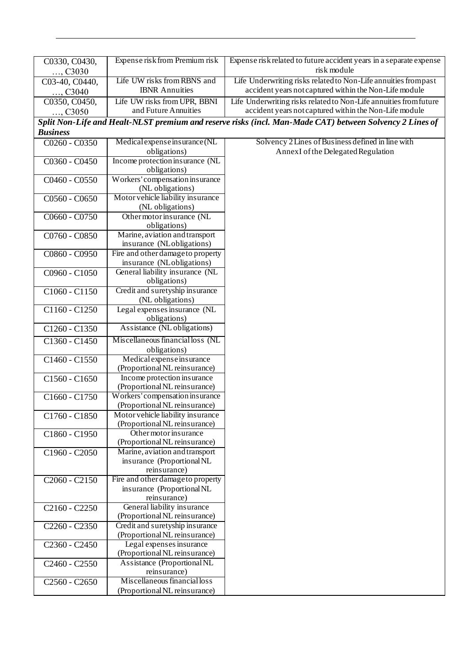| C0330, C0430,                         | Expense risk from Premium risk                              | Expense risk related to future accident years in a separate expense                                      |
|---------------------------------------|-------------------------------------------------------------|----------------------------------------------------------------------------------------------------------|
| , C3030                               |                                                             | risk module                                                                                              |
| C03-40, C0440,                        | Life UW risks from RBNS and                                 | Life Underwriting risks related to Non-Life annuities from past                                          |
| , C3040                               | <b>IBNR</b> Annuities                                       | accident years not captured within the Non-Life module                                                   |
| C0350, C0450,                         | Life UW risks from UPR, BBNI                                | Life Underwriting risks related to Non-Life annuities from future                                        |
| , C3050                               | and Future Annuities                                        | accident years not captured within the Non-Life module                                                   |
|                                       |                                                             | Split Non-Life and Healt-NLST premium and reserve risks (incl. Man-Made CAT) between Solvency 2 Lines of |
| <b>Business</b>                       |                                                             |                                                                                                          |
| $C0260 - C0350$                       | Medical expense insurance (NL                               | Solvency 2 Lines of Business defined in line with                                                        |
|                                       | obligations)                                                | Annex I of the Delegated Regulation                                                                      |
| $C0360 - C0450$                       | Income protection insurance (NL                             |                                                                                                          |
|                                       | obligations)                                                |                                                                                                          |
|                                       | Workers' compensation insurance                             |                                                                                                          |
| C0460 - C0550                         | (NL obligations)                                            |                                                                                                          |
|                                       | Motor vehicle liability insurance                           |                                                                                                          |
| C0560 - C0650                         |                                                             |                                                                                                          |
|                                       | (NL obligations)                                            |                                                                                                          |
| C0660 - C0750                         | Other motor insurance (NL                                   |                                                                                                          |
|                                       | obligations)                                                |                                                                                                          |
| C0760 - C0850                         | Marine, aviation and transport<br>insurance (NLobligations) |                                                                                                          |
|                                       | Fire and other damage to property                           |                                                                                                          |
| C0860 - C0950                         | insurance (NLobligations)                                   |                                                                                                          |
|                                       |                                                             |                                                                                                          |
| C0960 - C1050                         | General liability insurance (NL                             |                                                                                                          |
|                                       | obligations)<br>Credit and suretyship insurance             |                                                                                                          |
| C1060 - C1150                         |                                                             |                                                                                                          |
|                                       | (NL obligations)                                            |                                                                                                          |
| C1160 - C1250                         | Legal expenses insurance (NL<br>obligations)                |                                                                                                          |
|                                       | Assistance (NL obligations)                                 |                                                                                                          |
| C1260 - C1350                         |                                                             |                                                                                                          |
| C1360 - C1450                         | Miscellaneous financial loss (NL                            |                                                                                                          |
|                                       | obligations)                                                |                                                                                                          |
| C1460 - C1550                         | Medical expense insurance                                   |                                                                                                          |
|                                       | (Proportional NL reinsurance)                               |                                                                                                          |
| C1560 - C1650                         | Income protection insurance                                 |                                                                                                          |
|                                       | (Proportional NL reinsurance)                               |                                                                                                          |
| C1660 - C1750                         | Workers' compensation insurance                             |                                                                                                          |
|                                       | (Proportional NL reinsurance)                               |                                                                                                          |
| C1760 - C1850                         | Motor vehicle liability insurance                           |                                                                                                          |
|                                       | (Proportional NL reinsurance)                               |                                                                                                          |
| C1860 - C1950                         | Other motor insurance                                       |                                                                                                          |
|                                       | (Proportional NL reinsurance)                               |                                                                                                          |
| C1960 - C2050                         | Marine, aviation and transport                              |                                                                                                          |
|                                       | insurance (Proportional NL                                  |                                                                                                          |
|                                       | reinsurance)                                                |                                                                                                          |
| C <sub>2060</sub> - C <sub>2150</sub> | Fire and other damage to property                           |                                                                                                          |
|                                       | insurance (Proportional NL                                  |                                                                                                          |
|                                       | reinsurance)                                                |                                                                                                          |
| C <sub>2160</sub> - C <sub>2250</sub> | General liability insurance                                 |                                                                                                          |
|                                       | (Proportional NL reinsurance)                               |                                                                                                          |
| C2260 - C2350                         | Credit and suretyship insurance                             |                                                                                                          |
|                                       | (Proportional NL reinsurance)                               |                                                                                                          |
| C2360 - C2450                         | Legal expenses insurance                                    |                                                                                                          |
|                                       | (Proportional NL reinsurance)                               |                                                                                                          |
| C2460 - C2550                         | Assistance (Proportional NL                                 |                                                                                                          |
|                                       | reinsurance)                                                |                                                                                                          |
| $C2560 - C2650$                       | Miscellaneous financial loss                                |                                                                                                          |
|                                       | (Proportional NL reinsurance)                               |                                                                                                          |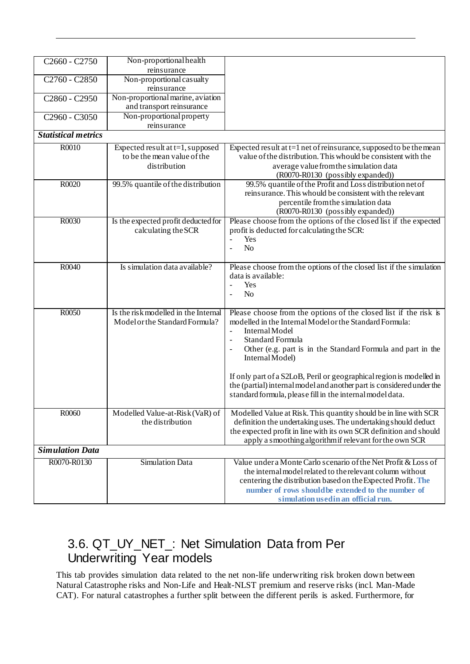| C <sub>2660</sub> - C <sub>2750</sub> | Non-proportional health<br>reinsurance                                             |                                                                                                                                                                                                                                                                                                                                                                                                                                                                                     |
|---------------------------------------|------------------------------------------------------------------------------------|-------------------------------------------------------------------------------------------------------------------------------------------------------------------------------------------------------------------------------------------------------------------------------------------------------------------------------------------------------------------------------------------------------------------------------------------------------------------------------------|
| C2760 - C2850                         | Non-proportional casualty<br>reinsurance                                           |                                                                                                                                                                                                                                                                                                                                                                                                                                                                                     |
| C2860 - C2950                         | Non-proportional marine, aviation<br>and transport reinsurance                     |                                                                                                                                                                                                                                                                                                                                                                                                                                                                                     |
| C2960 - C3050                         | Non-proportional property<br>reinsurance                                           |                                                                                                                                                                                                                                                                                                                                                                                                                                                                                     |
| <b>Statistical metrics</b>            |                                                                                    |                                                                                                                                                                                                                                                                                                                                                                                                                                                                                     |
| R0010                                 | Expected result at $t=1$ , supposed<br>to be the mean value of the<br>distribution | Expected result at $t=1$ net of reinsurance, supposed to be the mean<br>value of the distribution. This whould be consistent with the<br>average value from the simulation data<br>(R0070-R0130 (possibly expanded))                                                                                                                                                                                                                                                                |
| R0020                                 | 99.5% quantile of the distribution                                                 | 99.5% quantile of the Profit and Loss distribution net of<br>reinsurance. This whould be consistent with the relevant<br>percentile from the simulation data<br>(R0070-R0130 (possibly expanded))                                                                                                                                                                                                                                                                                   |
| R0030                                 | Is the expected profit deducted for<br>calculating the SCR                         | Please choose from the options of the closed list if the expected<br>profit is deducted for calculating the SCR:<br>Yes<br>$\mathbf{r}$<br>N <sub>o</sub><br>$\Box$                                                                                                                                                                                                                                                                                                                 |
| R0040                                 | Is simulation data available?                                                      | Please choose from the options of the closed list if the simulation<br>data is available:<br>Yes<br>$\mathbb{L}^{\mathbb{N}}$<br>N <sub>o</sub><br>$\blacksquare$                                                                                                                                                                                                                                                                                                                   |
| R0050                                 | Is the risk modelled in the Internal<br>Model or the Standard Formula?             | Please choose from the options of the closed list if the risk is<br>modelled in the Internal Model or the Standard Formula:<br>Internal Model<br>$\blacksquare$<br>Standard Formula<br>Other (e.g. part is in the Standard Formula and part in the<br>Internal Model)<br>If only part of a S2LoB, Peril or geographical region is modelled in<br>the (partial) internal model and another part is considered under the<br>standard formula, please fill in the internal model data. |
| R0060                                 | Modelled Value-at-Risk (VaR) of<br>the distribution                                | Modelled Value at Risk. This quantity should be in line with SCR<br>definition the undertaking uses. The undertaking should deduct<br>the expected profit in line with its own SCR definition and should<br>apply a smoothing algorithmif relevant for the own SCR                                                                                                                                                                                                                  |
| <b>Simulation Data</b>                |                                                                                    |                                                                                                                                                                                                                                                                                                                                                                                                                                                                                     |
| R0070-R0130                           | Simulation Data                                                                    | Value under a Monte Carlo scenario of the Net Profit & Loss of<br>the internal model related to the relevant column without<br>centering the distribution based on the Expected Profit. The<br>number of rows should be extended to the number of<br>simulation used in an official run.                                                                                                                                                                                            |

## <span id="page-29-0"></span>3.6. QT\_UY\_NET\_: Net Simulation Data from Per Underwriting Year models

This tab provides simulation data related to the net non-life underwriting risk broken down between Natural Catastrophe risks and Non-Life and Healt-NLST premium and reserve risks (incl. Man-Made CAT). For natural catastrophes a further split between the different perils is asked. Furthermore, for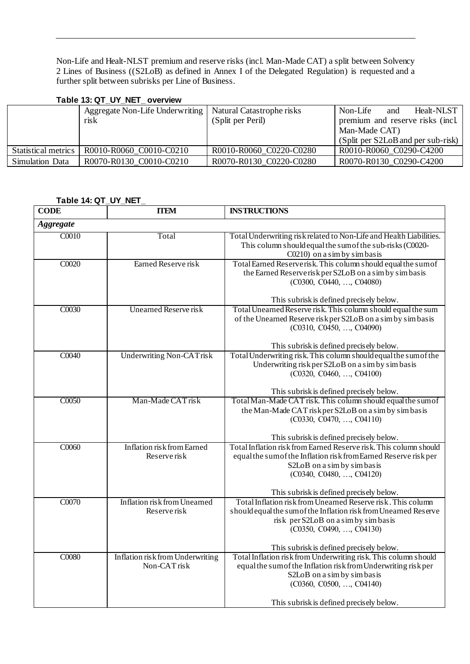Non-Life and Healt-NLST premium and reserve risks (incl. Man-Made CAT) a split between Solvency 2 Lines of Business ((S2LoB) as defined in Annex I of the Delegated Regulation) is requested and a further split between subrisks per Line of Business.

### <span id="page-30-0"></span>**Table 13: QT\_UY\_NET\_ overview**

|                     | Aggregate Non-Life Underwriting   Natural Catastrophe risks<br>risk | (Split per Peril)       | Non-Life<br>Healt-NLST<br>and<br>premium and reserve risks (incl.<br>Man-Made CAT)<br>(Split per S2LoB and per sub-risk) |
|---------------------|---------------------------------------------------------------------|-------------------------|--------------------------------------------------------------------------------------------------------------------------|
| Statistical metrics | R0010-R0060 C0010-C0210                                             | R0010-R0060 C0220-C0280 | R0010-R0060 C0290-C4200                                                                                                  |
| Simulation Data     | R0070-R0130 C0010-C0210                                             | R0070-R0130 C0220-C0280 | R0070-R0130 C0290-C4200                                                                                                  |

### <span id="page-30-1"></span>**Table 14: QT\_UY\_NET\_**

| <b>CODE</b>      | <b>ITEM</b>                                      | <b>INSTRUCTIONS</b>                                                                                                                                                                                                                             |  |
|------------------|--------------------------------------------------|-------------------------------------------------------------------------------------------------------------------------------------------------------------------------------------------------------------------------------------------------|--|
| <b>Aggregate</b> |                                                  |                                                                                                                                                                                                                                                 |  |
| C0010            | Total                                            | Total Underwriting risk related to Non-Life and Health Liabilities.<br>This column should equal the sum of the sub-risks (C0020-<br>C0210) on a sim by simbasis                                                                                 |  |
| C0020            | Earned Reserve risk                              | Total Earned Reserverisk. This column should equal the sum of<br>the Earned Reserverisk per S2LoB on a sim by simbasis<br>(C0300, C0440, , C04080)                                                                                              |  |
|                  |                                                  | This subrisk is defined precisely below.                                                                                                                                                                                                        |  |
| C0030            | <b>Unearned Reserve risk</b>                     | Total Unearned Reserve risk. This column should equal the sum<br>of the Unearned Reserve risk per S2LoB on a sim by simbasis<br>(C0310, C0450, , C04090)<br>This subrisk is defined precisely below.                                            |  |
| C0040            | <b>Underwriting Non-CATrisk</b>                  | Total Underwriting risk. This column should equal the sum of the<br>Underwriting risk per S2LoB on a sim by simbasis<br>(C0320, C0460, , C04100)<br>This subrisk is defined precisely below.                                                    |  |
| C0050            | Man-Made CAT risk                                | Total Man-Made CAT risk. This column should equal the sum of<br>the Man-Made CAT risk per S2LoB on a sim by simbasis<br>(C0330, C0470, , C04110)<br>This subrisk is defined precisely below.                                                    |  |
| C0060            | Inflation risk from Earned<br>Reserve risk       | Total Inflation risk from Earned Reserve risk. This column should<br>equal the sum of the Inflation risk from Earned Reserve risk per<br>S2LoB on a sim by simbasis<br>(C0340, C0480, , C04120)<br>This subrisk is defined precisely below.     |  |
| C0070            | Inflation risk from Unearned<br>Reserve risk     | Total Inflation risk from Unearned Reserve risk. This column<br>should equal the sum of the Inflation risk from Unearned Reserve<br>risk per S2LoB on a sim by simbasis<br>(C0350, C0490, , C04130)<br>This subrisk is defined precisely below. |  |
| C0080            | Inflation risk from Underwriting<br>Non-CAT risk | Total Inflation risk from Underwriting risk. This column should<br>equal the sum of the Inflation risk from Underwriting risk per<br>S2LoB on a sim by simbasis<br>(C0360, C0500, , C04140)<br>This subrisk is defined precisely below.         |  |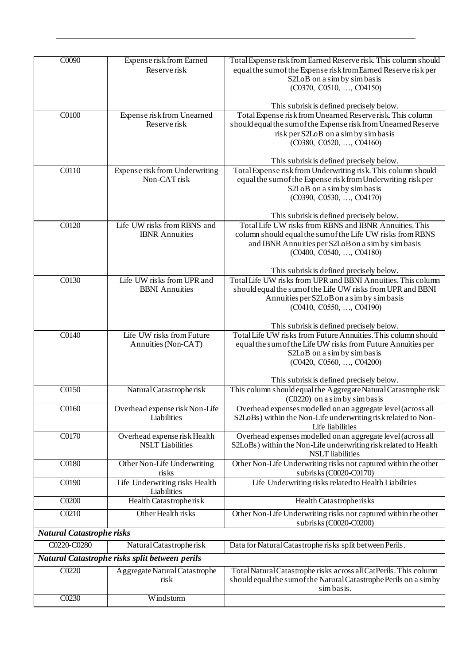| C0090                            | Expense risk from Earned                                | Total Expense risk from Earned Reserve risk. This column should                            |
|----------------------------------|---------------------------------------------------------|--------------------------------------------------------------------------------------------|
|                                  | Reserve risk                                            | equal the sum of the Expense risk from Earned Reserve risk per                             |
|                                  |                                                         | S2LoB on a sim by simbasis                                                                 |
|                                  |                                                         | (C0370, C0510, , C04150)                                                                   |
|                                  |                                                         |                                                                                            |
|                                  |                                                         | This subrisk is defined precisely below.                                                   |
| C0100                            | Expense risk from Unearned                              | Total Expense risk from Unearned Reserverisk. This column                                  |
|                                  | Reserve risk                                            | should equal the sum of the Expense risk from Unearned Reserve                             |
|                                  |                                                         | risk per S2LoB on a sim by simbasis                                                        |
|                                  |                                                         | (C0380, C0520, , C04160)                                                                   |
|                                  |                                                         |                                                                                            |
|                                  |                                                         | This subrisk is defined precisely below.                                                   |
| C0110                            | Expense risk from Underwriting                          | Total Expense risk from Underwriting risk. This column should                              |
|                                  | Non-CAT risk                                            | equal the sum of the Expense risk from Underwriting risk per                               |
|                                  |                                                         | S2LoB on a sim by simbasis                                                                 |
|                                  |                                                         | (C0390, C0530, , C04170)                                                                   |
|                                  |                                                         |                                                                                            |
|                                  |                                                         | This subrisk is defined precisely below.                                                   |
| C0120                            | Life UW risks from RBNS and                             | Total Life UW risks from RBNS and IBNR Annuities. This                                     |
|                                  | <b>IBNR</b> Annuities                                   | column should equal the sum of the Life UW risks from RBNS                                 |
|                                  |                                                         | and IBNR Annuities per S2LoB on a sim by simbasis                                          |
|                                  |                                                         | (C0400, C0540, , C04180)                                                                   |
|                                  |                                                         |                                                                                            |
|                                  |                                                         | This subrisk is defined precisely below.                                                   |
| $\overline{C0130}$               | Life UW risks from UPR and                              | Total Life UW risks from UPR and BBNI Annuities. This column                               |
|                                  | <b>BBNI</b> Annuities                                   | should equal the sum of the Life UW risks from UPR and BBNI                                |
|                                  |                                                         | Annuities per S2LoB on a sim by simbasis                                                   |
|                                  |                                                         | (C0410, C0550, , C04190)                                                                   |
|                                  |                                                         |                                                                                            |
|                                  |                                                         | This subrisk is defined precisely below.                                                   |
| $\overline{C0140}$               | Life UW risks from Future                               | Total Life UW risks from Future Annuities. This column should                              |
|                                  | Annuities (Non-CAT)                                     | equal the sum of the Life UW risks from Future Annuities per                               |
|                                  |                                                         | S2LoB on a sim by simbasis                                                                 |
|                                  |                                                         | (C0420, C0560, , C04200)                                                                   |
|                                  |                                                         |                                                                                            |
|                                  |                                                         | This subrisk is defined precisely below.                                                   |
| C0150                            | Natural Catastropherisk                                 | This column should equal the Aggregate Natural Catastrophe risk                            |
|                                  |                                                         | (C0220) on a sim by simbasis                                                               |
| C0160                            | Overhead expense risk Non-Life<br><b>Liabilities</b>    | Overhead expenses modelled on an aggregate level (across all                               |
|                                  |                                                         | S2LoBs) within the Non-Life underwriting risk related to Non-                              |
|                                  |                                                         | Life liabilities                                                                           |
| C0170                            | Overhead expense risk Health<br><b>NSLT</b> Liabilities | Overhead expenses modelled on an aggregate level (across all                               |
|                                  |                                                         | S2LoBs) within the Non-Life underwriting risk related to Health<br><b>NSLT</b> liabilities |
| C0180                            |                                                         |                                                                                            |
|                                  | Other Non-Life Underwriting<br>risks                    | Other Non-Life Underwriting risks not captured within the other<br>subrisks (C0020-C0170)  |
| C0190                            |                                                         | Life Underwriting risks related to Health Liabilities                                      |
|                                  | Life Underwriting risks Health<br>Liabilities           |                                                                                            |
| CO <sub>200</sub>                | Health Catastropherisk                                  | Health Catastropherisks                                                                    |
|                                  |                                                         |                                                                                            |
| C0210                            | Other Health risks                                      | Other Non-Life Underwriting risks not captured within the other                            |
|                                  |                                                         | subrisks (C0020-C0200)                                                                     |
| <b>Natural Catastrophe risks</b> |                                                         |                                                                                            |
| C0220-C0280                      | Natural Catastropherisk                                 | Data for Natural Catastrophe risks split between Perils.                                   |
|                                  | Natural Catastrophe risks split between perils          |                                                                                            |
| C0220                            | Aggregate Natural Catastrophe                           | Total Natural Catastrophe risks across all CatPerils. This column                          |
|                                  | risk                                                    | should equal the sum of the Natural Catastrophe Perils on a simby                          |
|                                  |                                                         | simbasis.                                                                                  |
| C0230                            | Windstorm                                               |                                                                                            |
|                                  |                                                         |                                                                                            |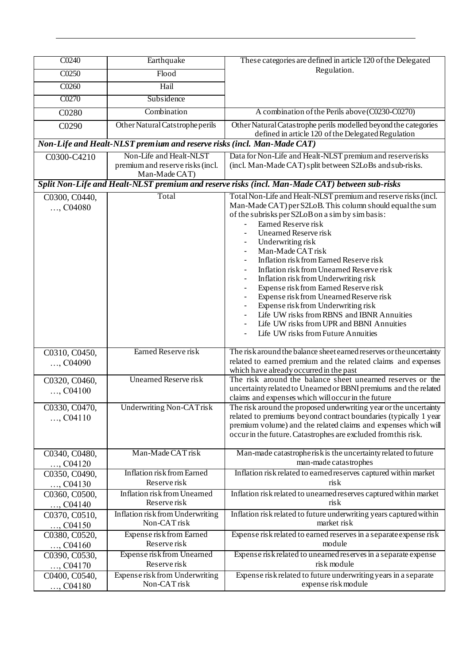| C0240                       | Earthquake                                                                   | These categories are defined in article 120 of the Delegated                                                                                                                                                                                                                                                                                                                                                                                                                                                                                                                                                                                                           |
|-----------------------------|------------------------------------------------------------------------------|------------------------------------------------------------------------------------------------------------------------------------------------------------------------------------------------------------------------------------------------------------------------------------------------------------------------------------------------------------------------------------------------------------------------------------------------------------------------------------------------------------------------------------------------------------------------------------------------------------------------------------------------------------------------|
| C0250                       | Flood                                                                        | Regulation.                                                                                                                                                                                                                                                                                                                                                                                                                                                                                                                                                                                                                                                            |
| C0260                       | Hail                                                                         |                                                                                                                                                                                                                                                                                                                                                                                                                                                                                                                                                                                                                                                                        |
| C0270                       | Subsidence                                                                   |                                                                                                                                                                                                                                                                                                                                                                                                                                                                                                                                                                                                                                                                        |
|                             |                                                                              |                                                                                                                                                                                                                                                                                                                                                                                                                                                                                                                                                                                                                                                                        |
| C0280                       | Combination                                                                  | A combination of the Perils above (C0230-C0270)                                                                                                                                                                                                                                                                                                                                                                                                                                                                                                                                                                                                                        |
| C0290                       | Other Natural Catstrophe perils                                              | Other Natural Catastrophe perils modelled beyond the categories<br>defined in article 120 of the Delegated Regulation                                                                                                                                                                                                                                                                                                                                                                                                                                                                                                                                                  |
|                             | Non-Life and Healt-NLST premium and reserve risks (incl. Man-Made CAT)       |                                                                                                                                                                                                                                                                                                                                                                                                                                                                                                                                                                                                                                                                        |
| C0300-C4210                 | Non-Life and Healt-NLST<br>premium and reserve risks (incl.<br>Man-Made CAT) | Data for Non-Life and Healt-NLST premium and reserverisks<br>(incl. Man-Made CAT) split between S2LoBs and sub-risks.                                                                                                                                                                                                                                                                                                                                                                                                                                                                                                                                                  |
|                             |                                                                              | Split Non-Life and Healt-NLST premium and reserve risks (incl. Man-Made CAT) between sub-risks                                                                                                                                                                                                                                                                                                                                                                                                                                                                                                                                                                         |
| C0300, C0440,<br>, $C04080$ | Total                                                                        | Total Non-Life and Healt-NLST premium and reserve risks (incl.<br>Man-Made CAT) per S2LoB. This column should equal the sum<br>of the subrisks per S2LoB on a sim by simbasis:<br>Earned Reserve risk<br>Unearned Reserve risk<br>Underwriting risk<br>Man-Made CAT risk<br>Inflation risk from Earned Reserve risk<br>Inflation risk from Unearned Reserve risk<br>Inflation risk from Underwriting risk<br>Expense risk from Earned Reserve risk<br>Expense risk from Unearned Reserve risk<br>Expense risk from Underwriting risk<br>Life UW risks from RBNS and IBNR Annuities<br>Life UW risks from UPR and BBNI Annuities<br>Life UW risks from Future Annuities |
| C0310, C0450,<br>, $C04090$ | Earned Reserve risk                                                          | The risk around the balance sheet earned reserves or the uncertainty<br>related to earned premium and the related claims and expenses<br>which have already occurred in the past                                                                                                                                                                                                                                                                                                                                                                                                                                                                                       |
| C0320, C0460,<br>, $C04100$ | Unearned Reserve risk                                                        | The risk around the balance sheet unearned reserves or the<br>uncertainty related to Unearned or BBNI premiums and the related<br>claims and expenses which will occur in the future                                                                                                                                                                                                                                                                                                                                                                                                                                                                                   |
| C0330, C0470,<br>, $C04110$ | Underwriting Non-CATrisk                                                     | The risk around the proposed underwriting year or the uncertainty<br>related to premiums beyond contract boundaries (typically 1 year<br>premium volume) and the related claims and expenses which will<br>occur in the future. Catastrophes are excluded from this risk.                                                                                                                                                                                                                                                                                                                                                                                              |
| C0340, C0480,<br>$,$ C04120 | Man-Made CAT risk                                                            | Man-made catastropherisk is the uncertainty related to future<br>man-made catastrophes                                                                                                                                                                                                                                                                                                                                                                                                                                                                                                                                                                                 |
| C0350, C0490,               | Inflation risk from Earned                                                   | Inflation risk related to earned reserves captured within market                                                                                                                                                                                                                                                                                                                                                                                                                                                                                                                                                                                                       |
| , $C04130$                  | Reserve risk                                                                 | ris k                                                                                                                                                                                                                                                                                                                                                                                                                                                                                                                                                                                                                                                                  |
| C0360, C0500,<br>$,$ C04140 | Inflation risk from Unearned<br>Reserve risk                                 | Inflation risk related to unearned reserves captured within market<br>risk                                                                                                                                                                                                                                                                                                                                                                                                                                                                                                                                                                                             |
| C0370, C0510,<br>, $C04150$ | Inflation risk from Underwriting<br>Non-CAT risk                             | Inflation risk related to future underwriting years captured within<br>market risk                                                                                                                                                                                                                                                                                                                                                                                                                                                                                                                                                                                     |
| C0380, C0520,<br>$,$ C04160 | Expense risk from Earned<br>Reserve risk                                     | Expense risk related to earned reserves in a separate expense risk<br>module                                                                                                                                                                                                                                                                                                                                                                                                                                                                                                                                                                                           |
| C0390, C0530,<br>$,$ C04170 | Expense risk from Unearned<br>Reserve risk                                   | Expense risk related to unearned reserves in a separate expense<br>risk module                                                                                                                                                                                                                                                                                                                                                                                                                                                                                                                                                                                         |
| C0400, C0540,<br>$,$ C04180 | Expense risk from Underwriting<br>Non-CAT risk                               | Expense risk related to future underwriting years in a separate<br>expense risk module                                                                                                                                                                                                                                                                                                                                                                                                                                                                                                                                                                                 |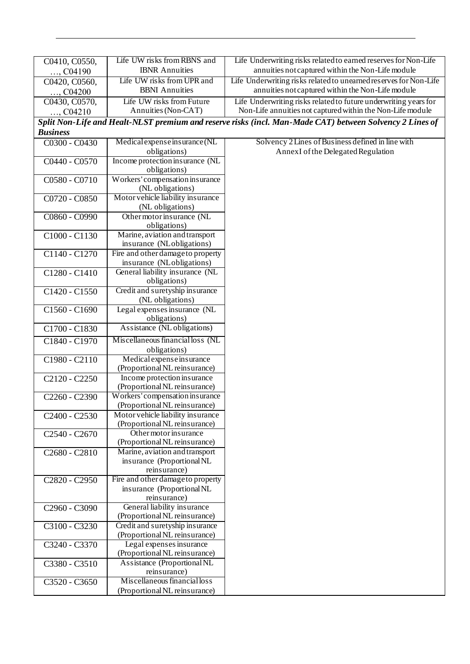| C0410, C0550,                         | Life UW risks from RBNS and                                      | Life Underwriting risks related to earned reserves for Non-Life                                          |
|---------------------------------------|------------------------------------------------------------------|----------------------------------------------------------------------------------------------------------|
| $,$ C04190                            | <b>IBNR</b> Annuities                                            | annuities not captured within the Non-Life module                                                        |
| C0420, C0560,                         | Life UW risks from UPR and                                       | Life Underwriting risks related to unearned reserves for Non-Life                                        |
| $,$ C04200                            | <b>BBNI</b> Annuities                                            | annuities not captured within the Non-Life module                                                        |
| C0430, C0570,                         | Life UW risks from Future                                        | Life Underwriting risks related to future underwriting years for                                         |
| $,$ C04210                            | Annuities (Non-CAT)                                              | Non-Life annuities not captured within the Non-Life module                                               |
|                                       |                                                                  | Split Non-Life and Healt-NLST premium and reserve risks (incl. Man-Made CAT) between Solvency 2 Lines of |
| <b>Business</b>                       |                                                                  |                                                                                                          |
| C0300 - C0430                         | Medical expense insurance (NL                                    | Solvency 2 Lines of Business defined in line with                                                        |
|                                       | obligations)                                                     | Annex I of the Delegated Regulation                                                                      |
| C0440 - C0570                         | Income protection insurance (NL                                  |                                                                                                          |
|                                       | obligations)                                                     |                                                                                                          |
| C0580 - C0710                         | Workers' compensation insurance                                  |                                                                                                          |
|                                       | (NL obligations)                                                 |                                                                                                          |
| $C0720 - C0850$                       | Motor vehicle liability insurance                                |                                                                                                          |
|                                       | (NL obligations)                                                 |                                                                                                          |
| C0860 - C0990                         | Other motor insurance (NL                                        |                                                                                                          |
|                                       | obligations)                                                     |                                                                                                          |
| C1000 - C1130                         | Marine, aviation and transport<br>insurance (NLobligations)      |                                                                                                          |
| C1140 - C1270                         | Fire and other damage to property                                |                                                                                                          |
|                                       | insurance (NLobligations)                                        |                                                                                                          |
| C1280 - C1410                         | General liability insurance (NL                                  |                                                                                                          |
|                                       | obligations)                                                     |                                                                                                          |
| C1420 - C1550                         | Credit and suretyship insurance                                  |                                                                                                          |
|                                       | (NL obligations)                                                 |                                                                                                          |
| C1560 - C1690                         | Legal expenses insurance (NL                                     |                                                                                                          |
|                                       | obligations)                                                     |                                                                                                          |
| C1700 - C1830                         | Assistance (NL obligations)                                      |                                                                                                          |
| C1840 - C1970                         | Miscellaneous financial loss (NL                                 |                                                                                                          |
|                                       | obligations)                                                     |                                                                                                          |
| C1980 - C2110                         | Medical expense insurance                                        |                                                                                                          |
|                                       | (Proportional NL reinsurance)                                    |                                                                                                          |
| C2120 - C2250                         | Income protection insurance                                      |                                                                                                          |
|                                       | (Proportional NL reinsurance)                                    |                                                                                                          |
| C2260 - C2390                         | Workers' compensation insurance<br>(Proportional NL reinsurance) |                                                                                                          |
| C <sub>2400</sub> - C <sub>2530</sub> | Motor vehicle liability insurance                                |                                                                                                          |
|                                       | (Proportional NL reinsurance)                                    |                                                                                                          |
| C <sub>2540</sub> - C <sub>2670</sub> | Other motor insurance                                            |                                                                                                          |
|                                       | (Proportional NL reinsurance)                                    |                                                                                                          |
| C <sub>2680</sub> - C <sub>2810</sub> | Marine, aviation and transport                                   |                                                                                                          |
|                                       | insurance (Proportional NL                                       |                                                                                                          |
|                                       | reinsurance)                                                     |                                                                                                          |
| C <sub>2820</sub> - C <sub>2950</sub> | Fire and other damage to property                                |                                                                                                          |
|                                       | insurance (Proportional NL                                       |                                                                                                          |
|                                       | reinsurance)<br>General liability insurance                      |                                                                                                          |
| C2960 - C3090                         | (Proportional NL reinsurance)                                    |                                                                                                          |
| C3100 - C3230                         | Credit and suretyship insurance                                  |                                                                                                          |
|                                       | (Proportional NL reinsurance)                                    |                                                                                                          |
| C3240 - C3370                         | Legal expenses insurance                                         |                                                                                                          |
|                                       | (Proportional NL reinsurance)                                    |                                                                                                          |
| C3380 - C3510                         | Assistance (Proportional NL                                      |                                                                                                          |
|                                       | reinsurance)                                                     |                                                                                                          |
| C3520 - C3650                         | Miscellaneous financial loss                                     |                                                                                                          |
|                                       | (Proportional NL reinsurance)                                    |                                                                                                          |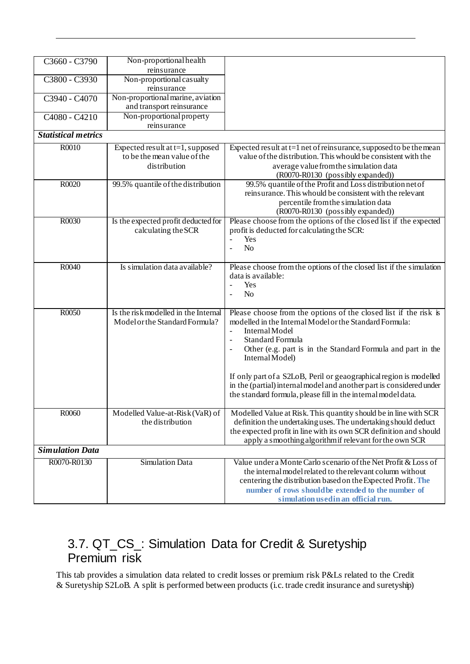| C3660 - C3790              | Non-proportional health<br>reinsurance                                             |                                                                                                                                                                                                                                                                                                                                                                                                                                                                    |
|----------------------------|------------------------------------------------------------------------------------|--------------------------------------------------------------------------------------------------------------------------------------------------------------------------------------------------------------------------------------------------------------------------------------------------------------------------------------------------------------------------------------------------------------------------------------------------------------------|
| C3800 - C3930              | Non-proportional casualty<br>reinsurance                                           |                                                                                                                                                                                                                                                                                                                                                                                                                                                                    |
| C3940 - C4070              | Non-proportional marine, aviation<br>and transport reinsurance                     |                                                                                                                                                                                                                                                                                                                                                                                                                                                                    |
| C4080 - C4210              | Non-proportional property<br>reinsurance                                           |                                                                                                                                                                                                                                                                                                                                                                                                                                                                    |
| <b>Statistical metrics</b> |                                                                                    |                                                                                                                                                                                                                                                                                                                                                                                                                                                                    |
| R0010                      | Expected result at $t=1$ , supposed<br>to be the mean value of the<br>distribution | Expected result at $t=1$ net of reinsurance, supposed to be the mean<br>value of the distribution. This whould be consistent with the<br>average value from the simulation data<br>(R0070-R0130 (possibly expanded))                                                                                                                                                                                                                                               |
| R0020                      | 99.5% quantile of the distribution                                                 | 99.5% quantile of the Profit and Loss distribution net of<br>reinsurance. This whould be consistent with the relevant<br>percentile from the simulation data<br>(R0070-R0130 (possibly expanded))                                                                                                                                                                                                                                                                  |
| R0030                      | Is the expected profit deducted for<br>calculating the SCR                         | Please choose from the options of the closed list if the expected<br>profit is deducted for calculating the SCR:<br>Yes<br>$\overline{a}$<br>N <sub>o</sub><br>$\overline{\phantom{a}}$                                                                                                                                                                                                                                                                            |
| R0040                      | Is simulation data available?                                                      | Please choose from the options of the closed list if the simulation<br>data is available:<br>Yes<br>$\blacksquare$<br>N <sub>o</sub><br>$\blacksquare$                                                                                                                                                                                                                                                                                                             |
| R0050                      | Is the risk modelled in the Internal<br>Model or the Standard Formula?             | Please choose from the options of the closed list if the risk is<br>modelled in the Internal Model or the Standard Formula:<br>Internal Model<br>Standard Formula<br>Other (e.g. part is in the Standard Formula and part in the<br>Internal Model)<br>If only part of a S2LoB, Peril or geaographical region is modelled<br>in the (partial) internal model and another part is considered under<br>the standard formula, please fill in the internal model data. |
| R0060                      | Modelled Value-at-Risk (VaR) of<br>the distribution                                | Modelled Value at Risk. This quantity should be in line with SCR<br>definition the undertaking uses. The undertaking should deduct<br>the expected profit in line with its own SCR definition and should<br>apply a smoothing algorithm if relevant for the own SCR                                                                                                                                                                                                |
| <b>Simulation Data</b>     |                                                                                    |                                                                                                                                                                                                                                                                                                                                                                                                                                                                    |
| R0070-R0130                | <b>Simulation Data</b>                                                             | Value under a Monte Carlo scenario of the Net Profit & Loss of<br>the internal model related to the relevant column without<br>centering the distribution based on the Expected Profit. The<br>number of rows should be extended to the number of<br>simulation used in an official run.                                                                                                                                                                           |

## <span id="page-34-0"></span>3.7. QT\_CS\_: Simulation Data for Credit & Suretyship Premium risk

This tab provides a simulation data related to credit losses or premium risk P&Ls related to the Credit & Suretyship S2LoB. A split is performed between products (i.c. trade credit insurance and suretyship)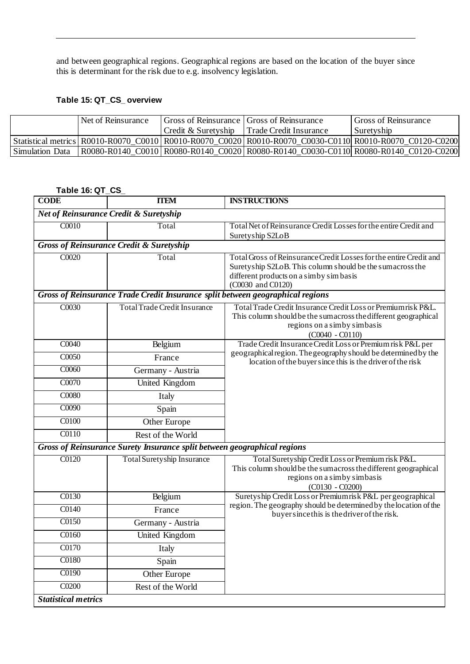and between geographical regions. Geographical regions are based on the location of the buyer since this is determinant for the risk due to e.g. insolvency legislation.

### <span id="page-35-0"></span>**Table 15: QT\_CS\_ overview**

|                        | Net of Reinsurance |                     | Gross of Reinsurance Gross of Reinsurance | <b>Gross of Reinsurance</b>                                                                                     |
|------------------------|--------------------|---------------------|-------------------------------------------|-----------------------------------------------------------------------------------------------------------------|
|                        |                    | Credit & Suretyship | Trade Credit Insurance                    | Suretyship                                                                                                      |
|                        |                    |                     |                                           | Statistical metrics   R0010-R0070 C0010   R0010-R0070 C0020   R0010-R0070 C0030-C0110   R0010-R0070 C0120-C0200 |
| <b>Simulation Data</b> |                    |                     |                                           | R0080-R0140 C0010 R0080-R0140 C0020 R0080-R0140 C0030-C0110 R0080-R0140 C0120-C0200                             |

<span id="page-35-1"></span>

|                            | Table 16: QT_CS_                                                               |                                                                                                                                                                                                |  |  |
|----------------------------|--------------------------------------------------------------------------------|------------------------------------------------------------------------------------------------------------------------------------------------------------------------------------------------|--|--|
| <b>CODE</b>                | <b>TTEM</b>                                                                    | <b>INSTRUCTIONS</b>                                                                                                                                                                            |  |  |
|                            | <b>Net of Reinsurance Credit &amp; Suretyship</b>                              |                                                                                                                                                                                                |  |  |
| C0010                      | Total                                                                          | Total Net of Reinsurance Credit Losses for the entire Credit and<br>Suretyship S2LoB                                                                                                           |  |  |
|                            | <b>Gross of Reinsurance Credit &amp; Suretyship</b>                            |                                                                                                                                                                                                |  |  |
| C0020                      | Total                                                                          | Total Gross of Reinsurance Credit Losses for the entire Credit and<br>Suretyship S2LoB. This column should be the sumacross the<br>different products on a simby simbasis<br>(C0030 and C0120) |  |  |
|                            | Gross of Reinsurance Trade Credit Insurance split between geographical regions |                                                                                                                                                                                                |  |  |
| C0030                      | <b>Total Trade Credit Insurance</b>                                            | Total Trade Credit Insurance Credit Loss or Premiumrisk P&L.<br>This column should be the sumacross the different geographical<br>regions on a simby simbasis<br>$(C0040 - C0110)$             |  |  |
| $\overline{CO040}$         | Belgium                                                                        | Trade Credit Insurance Credit Loss or Premium risk P&L per                                                                                                                                     |  |  |
| C0050                      | France                                                                         | geographical region. The geography should be determined by the<br>location of the buyer since this is the driver of the risk                                                                   |  |  |
| C0060                      | Germany - Austria                                                              |                                                                                                                                                                                                |  |  |
| C0070                      | United Kingdom                                                                 |                                                                                                                                                                                                |  |  |
| C0080                      | Italy                                                                          |                                                                                                                                                                                                |  |  |
| C0090                      | Spain                                                                          |                                                                                                                                                                                                |  |  |
| $\overline{C0100}$         | Other Europe                                                                   |                                                                                                                                                                                                |  |  |
| C0110                      | Rest of the World                                                              |                                                                                                                                                                                                |  |  |
|                            | Gross of Reinsurance Surety Insurance split between geographical regions       |                                                                                                                                                                                                |  |  |
| C0120                      | <b>Total Suretyship Insurance</b>                                              | Total Suretyship Credit Loss or Premium risk P&L.<br>This column should be the sum across the different geographical<br>regions on a simby simbasis<br>$(C0130 - C0200)$                       |  |  |
| C0130                      | Belgium                                                                        | Suretyship Credit Loss or Premiumrisk P&L per geographical                                                                                                                                     |  |  |
| C0140                      | France                                                                         | region. The geography should be determined by the location of the<br>buyer since this is the driver of the risk.                                                                               |  |  |
| C0150                      | Germany - Austria                                                              |                                                                                                                                                                                                |  |  |
| $\overline{C0160}$         | United Kingdom                                                                 |                                                                                                                                                                                                |  |  |
| C0170                      | Italy                                                                          |                                                                                                                                                                                                |  |  |
| C0180                      | Spain                                                                          |                                                                                                                                                                                                |  |  |
| C0190                      | <b>Other Europe</b>                                                            |                                                                                                                                                                                                |  |  |
| CO <sub>200</sub>          | Rest of the World                                                              |                                                                                                                                                                                                |  |  |
| <b>Statistical metrics</b> |                                                                                |                                                                                                                                                                                                |  |  |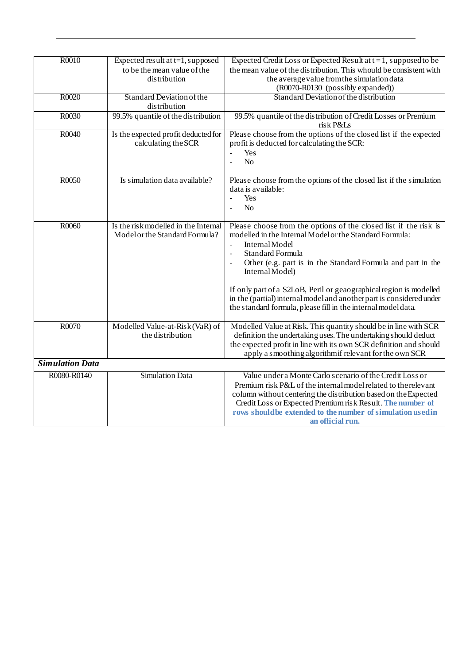| R0010                  | Expected result at $t=1$ , supposed  | Expected Credit Loss or Expected Result at $t = 1$ , supposed to be         |
|------------------------|--------------------------------------|-----------------------------------------------------------------------------|
|                        | to be the mean value of the          | the mean value of the distribution. This whould be consistent with          |
|                        | distribution                         | the average value from the simulation data                                  |
|                        |                                      | (R0070-R0130 (possibly expanded))                                           |
| R0020                  | Standard Deviation of the            | Standard Deviation of the distribution                                      |
|                        | distribution                         |                                                                             |
| R0030                  | 99.5% quantile of the distribution   | 99.5% quantile of the distribution of Credit Losses or Premium<br>risk P&Ls |
| R0040                  | Is the expected profit deducted for  | Please choose from the options of the closed list if the expected           |
|                        | calculating the SCR                  | profit is deducted for calculating the SCR:                                 |
|                        |                                      | Yes                                                                         |
|                        |                                      | No<br>$\overline{\phantom{a}}$                                              |
|                        |                                      |                                                                             |
| R0050                  | Is simulation data available?        | Please choose from the options of the closed list if the simulation         |
|                        |                                      | data is available:                                                          |
|                        |                                      | Yes                                                                         |
|                        |                                      | N <sub>o</sub>                                                              |
|                        |                                      |                                                                             |
| R0060                  | Is the risk modelled in the Internal | Please choose from the options of the closed list if the risk is            |
|                        | Model or the Standard Formula?       | modelled in the Internal Model or the Standard Formula:                     |
|                        |                                      | <b>InternalModel</b><br>$\overline{a}$                                      |
|                        |                                      | <b>Standard Formula</b>                                                     |
|                        |                                      |                                                                             |
|                        |                                      | Other (e.g. part is in the Standard Formula and part in the                 |
|                        |                                      | Internal Model)                                                             |
|                        |                                      | If only part of a S2LoB, Peril or geaographical region is modelled          |
|                        |                                      | in the (partial) internal model and another part is considered under        |
|                        |                                      | the standard formula, please fill in the internal model data.               |
|                        |                                      |                                                                             |
| R0070                  | Modelled Value-at-Risk (VaR) of      | Modelled Value at Risk. This quantity should be in line with SCR            |
|                        | the distribution                     | definition the undertaking uses. The undertaking should deduct              |
|                        |                                      | the expected profit in line with its own SCR definition and should          |
|                        |                                      | apply a smoothing algorithm if relevant for the own SCR                     |
| <b>Simulation Data</b> |                                      |                                                                             |
| R0080-R0140            | <b>Simulation Data</b>               | Value under a Monte Carlo scenario of the Credit Loss or                    |
|                        |                                      | Premium risk P&L of the internal model related to the relevant              |
|                        |                                      | column without centering the distribution based on the Expected             |
|                        |                                      | Credit Loss or Expected Premium risk Result. The number of                  |
|                        |                                      | rows should be extended to the number of simulation used in                 |
|                        |                                      | an official run.                                                            |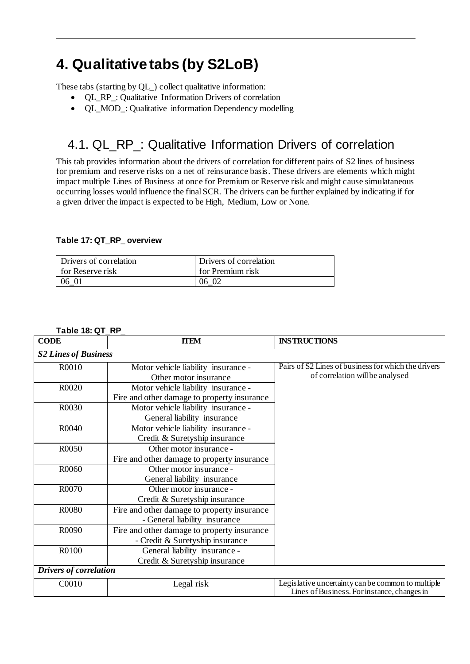# <span id="page-37-0"></span>**4. Qualitative tabs (by S2LoB)**

These tabs (starting by QL\_) collect qualitative information:

- QL\_RP\_: Qualitative Information Drivers of correlation
- OL MOD: Qualitative information Dependency modelling

## <span id="page-37-1"></span>4.1. QL\_RP\_: Qualitative Information Drivers of correlation

This tab provides information about the drivers of correlation for different pairs of S2 lines of business for premium and reserve risks on a net of reinsurance basis. These drivers are elements which might impact multiple Lines of Business at once for Premium or Reserve risk and might cause simulataneous occurring losses would influence the final SCR. The drivers can be further explained by indicating if for a given driver the impact is expected to be High, Medium, Low or None.

### <span id="page-37-2"></span>**Table 17: QT\_RP\_ overview**

| Drivers of correlation | Drivers of correlation  |
|------------------------|-------------------------|
| for Reserve risk       | <b>for Premium risk</b> |
| 06 01                  | 06 02                   |

<span id="page-37-3"></span>**Table 18: QT\_RP\_**

| <b>CODE</b>                   | <b>TTEM</b>                                 | <b>INSTRUCTIONS</b>                                 |
|-------------------------------|---------------------------------------------|-----------------------------------------------------|
| <b>S2 Lines of Business</b>   |                                             |                                                     |
| R0010                         | Motor vehicle liability insurance -         | Pairs of S2 Lines of business for which the drivers |
|                               | Other motor insurance                       | of correlation will be analysed                     |
| R0020                         | Motor vehicle liability insurance -         |                                                     |
|                               | Fire and other damage to property insurance |                                                     |
| R0030                         | Motor vehicle liability insurance -         |                                                     |
|                               | General liability insurance                 |                                                     |
| R0040                         | Motor vehicle liability insurance -         |                                                     |
|                               | Credit & Suretyship insurance               |                                                     |
| R0050                         | Other motor insurance -                     |                                                     |
|                               | Fire and other damage to property insurance |                                                     |
| R0060                         | Other motor insurance -                     |                                                     |
|                               | General liability insurance                 |                                                     |
| R0070                         | Other motor insurance -                     |                                                     |
|                               | Credit & Suretyship insurance               |                                                     |
| R0080                         | Fire and other damage to property insurance |                                                     |
|                               | - General liability insurance               |                                                     |
| R0090                         | Fire and other damage to property insurance |                                                     |
|                               | - Credit & Suretyship insurance             |                                                     |
| R0100                         | General liability insurance -               |                                                     |
|                               | Credit & Suretyship insurance               |                                                     |
| <b>Drivers of correlation</b> |                                             |                                                     |
| C0010                         | Legal risk                                  | Legislative uncertainty can be common to multiple   |
|                               |                                             | Lines of Business. For instance, changes in         |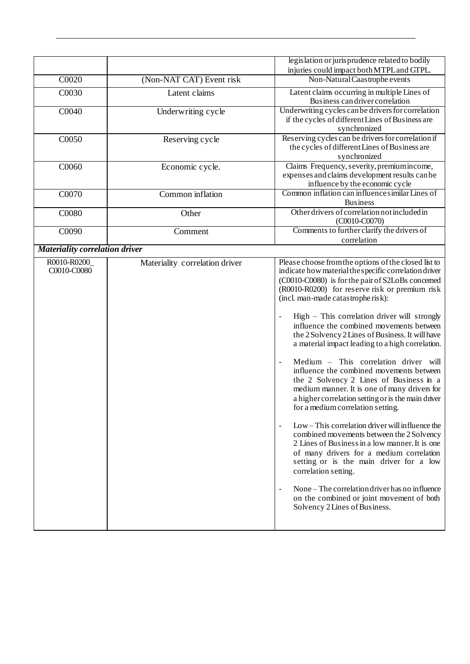|                                       |                                | legislation or jurisprudence related to bodily<br>injuries could impact both MTPL and GTPL.                                                                                                                                                                                                                                                                                                                                                                                                                                                                                                                                                                                                                                                                                                                                                                                                                                                                                                                                                                                                                                                   |
|---------------------------------------|--------------------------------|-----------------------------------------------------------------------------------------------------------------------------------------------------------------------------------------------------------------------------------------------------------------------------------------------------------------------------------------------------------------------------------------------------------------------------------------------------------------------------------------------------------------------------------------------------------------------------------------------------------------------------------------------------------------------------------------------------------------------------------------------------------------------------------------------------------------------------------------------------------------------------------------------------------------------------------------------------------------------------------------------------------------------------------------------------------------------------------------------------------------------------------------------|
| C0020                                 | (Non-NAT CAT) Event risk       | Non-Natural Caastrophe events                                                                                                                                                                                                                                                                                                                                                                                                                                                                                                                                                                                                                                                                                                                                                                                                                                                                                                                                                                                                                                                                                                                 |
| C0030                                 | Latent claims                  | Latent claims occurring in multiple Lines of<br>Business can driver correlation                                                                                                                                                                                                                                                                                                                                                                                                                                                                                                                                                                                                                                                                                                                                                                                                                                                                                                                                                                                                                                                               |
| C0040                                 | Underwriting cycle             | Underwriting cycles can be drivers for correlation<br>if the cycles of different Lines of Business are<br>synchronized                                                                                                                                                                                                                                                                                                                                                                                                                                                                                                                                                                                                                                                                                                                                                                                                                                                                                                                                                                                                                        |
| C0050                                 | Reserving cycle                | Reserving cycles can be drivers for correlation if<br>the cycles of different Lines of Business are<br>synchronized                                                                                                                                                                                                                                                                                                                                                                                                                                                                                                                                                                                                                                                                                                                                                                                                                                                                                                                                                                                                                           |
| C0060                                 | Economic cycle.                | Claims Frequency, severity, premium income,<br>expenses and claims development results can be<br>influence by the economic cycle                                                                                                                                                                                                                                                                                                                                                                                                                                                                                                                                                                                                                                                                                                                                                                                                                                                                                                                                                                                                              |
| C0070                                 | Common inflation               | Common inflation can influence similar Lines of<br><b>Business</b>                                                                                                                                                                                                                                                                                                                                                                                                                                                                                                                                                                                                                                                                                                                                                                                                                                                                                                                                                                                                                                                                            |
| C0080                                 | Other                          | Other drivers of correlation not included in<br>$(C0010-C0070)$                                                                                                                                                                                                                                                                                                                                                                                                                                                                                                                                                                                                                                                                                                                                                                                                                                                                                                                                                                                                                                                                               |
| C0090                                 | Comment                        | Comments to further clarify the drivers of<br>correlation                                                                                                                                                                                                                                                                                                                                                                                                                                                                                                                                                                                                                                                                                                                                                                                                                                                                                                                                                                                                                                                                                     |
| <b>Materiality correlation driver</b> |                                |                                                                                                                                                                                                                                                                                                                                                                                                                                                                                                                                                                                                                                                                                                                                                                                                                                                                                                                                                                                                                                                                                                                                               |
| R0010-R0200<br>C0010-C0080            | Materiality correlation driver | Please choose from the options of the closed list to<br>indicate how material the specific correlation driver<br>(C0010-C0080) is for the pair of S2LoBs concerned<br>(R0010-R0200) for reserve risk or premium risk<br>(incl. man-made catastrophe risk):<br>$High$ – This correlation driver will strongly<br>influence the combined movements between<br>the 2 Solvency 2 Lines of Business. It will have<br>a material impact leading to a high correlation.<br>Medium - This correlation driver will<br>influence the combined movements between<br>the 2 Solvency 2 Lines of Business in a<br>medium manner. It is one of many drivers for<br>a higher correlation setting or is the main driver<br>for a medium correlation setting.<br>Low – This correlation driver will influence the<br>combined movements between the 2 Solvency<br>2 Lines of Business in a low manner. It is one<br>of many drivers for a medium correlation<br>setting or is the main driver for a low<br>correlation setting.<br>None – The correlation driver has no influence<br>on the combined or joint movement of both<br>Solvency 2 Lines of Business. |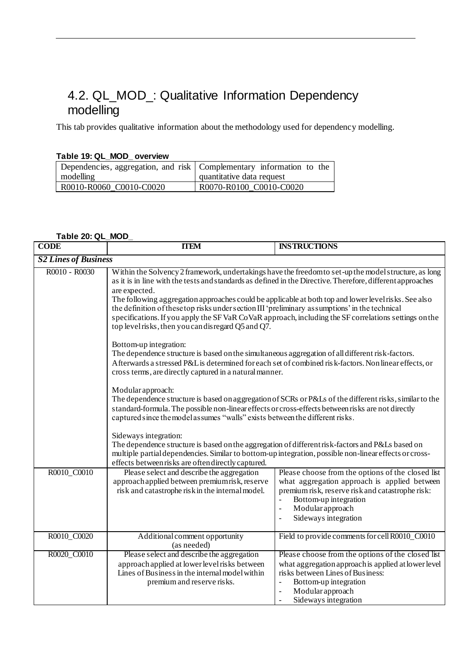## <span id="page-39-0"></span>4.2. QL\_MOD\_: Qualitative Information Dependency modelling

This tab provides qualitative information about the methodology used for dependency modelling.

#### <span id="page-39-1"></span>**Table 19: QL\_MOD\_ overview**

| Dependencies, aggregation, and risk   Complementary information to the<br>modelling | quantitative data request |
|-------------------------------------------------------------------------------------|---------------------------|
| R0010-R0060 C0010-C0020                                                             | R0070-R0100 C0010-C0020   |

#### <span id="page-39-2"></span>**Table 20: QL\_MOD\_**

| <b>CODE</b>                 | <b>TTEM</b>                                                                                                                                                                                                                                                                                                                                                                                                                                                                                                                                                                                                   | <b>INSTRUCTIONS</b>                                                                                                                                                                                                                                                              |  |
|-----------------------------|---------------------------------------------------------------------------------------------------------------------------------------------------------------------------------------------------------------------------------------------------------------------------------------------------------------------------------------------------------------------------------------------------------------------------------------------------------------------------------------------------------------------------------------------------------------------------------------------------------------|----------------------------------------------------------------------------------------------------------------------------------------------------------------------------------------------------------------------------------------------------------------------------------|--|
| <b>S2 Lines of Business</b> |                                                                                                                                                                                                                                                                                                                                                                                                                                                                                                                                                                                                               |                                                                                                                                                                                                                                                                                  |  |
| R0010 - R0030               | Within the Solvency 2 framework, undertakings have the freedom to set-up the model structure, as long<br>as it is in line with the tests and standards as defined in the Directive. Therefore, different approaches<br>are expected.<br>The following aggregation approaches could be applicable at both top and lower level risks. See also<br>the definition of these top risks under section III 'preliminary assumptions' in the technical<br>specifications. If you apply the SF VaR CoVaR approach, including the SF correlations settings on the<br>top level risks, then you can disregard Q5 and Q7. |                                                                                                                                                                                                                                                                                  |  |
|                             | Bottom-up integration:<br>The dependence structure is based on the simultaneous aggregation of all different risk-factors.<br>Afterwards a stressed P&L is determined for each set of combined risk-factors. Non linear effects, or<br>cross terms, are directly captured in a natural manner.                                                                                                                                                                                                                                                                                                                |                                                                                                                                                                                                                                                                                  |  |
|                             | Modular approach:<br>standard-formula. The possible non-linear effects or cross-effects between risks are not directly<br>captured since the model assumes "walls" exists between the different risks.                                                                                                                                                                                                                                                                                                                                                                                                        | The dependence structure is based on aggregation of SCRs or P&Ls of the different risks, similar to the                                                                                                                                                                          |  |
|                             | Sideways integration:<br>The dependence structure is based on the aggregation of different risk-factors and P&Ls based on<br>multiple partial dependencies. Similar to bottom-up integration, possible non-linear effects or cross-<br>effects between risks are often directly captured.                                                                                                                                                                                                                                                                                                                     |                                                                                                                                                                                                                                                                                  |  |
| R0010_C0010                 | Please select and describe the aggregation<br>approach applied between premiumrisk, reserve<br>risk and catastrophe risk in the internal model.                                                                                                                                                                                                                                                                                                                                                                                                                                                               | Please choose from the options of the closed list<br>what aggregation approach is applied between<br>premium risk, reserve risk and catastrophe risk:<br>Bottom-up integration<br>Modular approach<br>$\overline{a}$<br>Sideways integration                                     |  |
| R0010_C0020                 | Additional comment opportunity<br>(as needed)                                                                                                                                                                                                                                                                                                                                                                                                                                                                                                                                                                 | Field to provide comments for cell R0010_C0010                                                                                                                                                                                                                                   |  |
| R0020_C0010                 | Please select and describe the aggregation<br>approach applied at lower level risks between<br>Lines of Business in the internal model within<br>premium and reserve risks.                                                                                                                                                                                                                                                                                                                                                                                                                                   | Please choose from the options of the closed list<br>what aggregation approach is applied at lower level<br>risks between Lines of Business:<br>Bottom-up integration<br>$\overline{\phantom{a}}$<br>Modular approach<br>$\overline{a}$<br>Sideways integration<br>$\frac{1}{2}$ |  |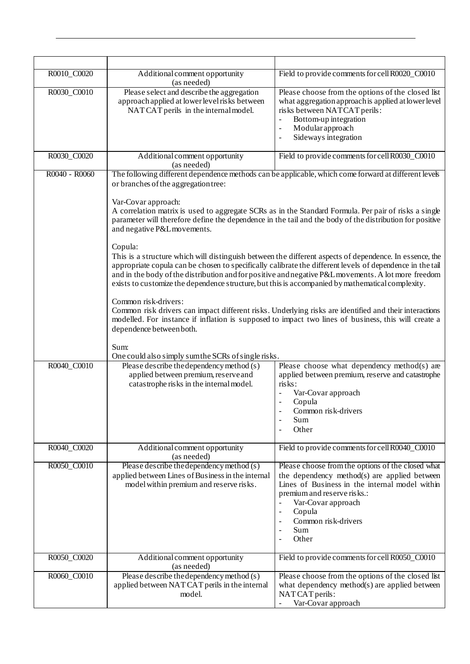| R0010_C0020   | Additional comment opportunity<br>(as needed)                                                                                                                                                                                                                                                                                                                                                                                      | Field to provide comments for cell R0020_C0010                                                                                                                                                                                                                                                                                                                                                                                                                                                                                               |  |
|---------------|------------------------------------------------------------------------------------------------------------------------------------------------------------------------------------------------------------------------------------------------------------------------------------------------------------------------------------------------------------------------------------------------------------------------------------|----------------------------------------------------------------------------------------------------------------------------------------------------------------------------------------------------------------------------------------------------------------------------------------------------------------------------------------------------------------------------------------------------------------------------------------------------------------------------------------------------------------------------------------------|--|
| R0030_C0010   | Please select and describe the aggregation<br>approach applied at lower level risks between<br>NAT CAT perils in the internal model.                                                                                                                                                                                                                                                                                               | Please choose from the options of the closed list<br>what aggregation approach is applied at lower level<br>risks between NATCAT perils:<br>Bottom-up integration<br>Modular approach<br>$\overline{\phantom{0}}$<br>Sideways integration                                                                                                                                                                                                                                                                                                    |  |
| R0030_C0020   | Additional comment opportunity<br>(as needed)                                                                                                                                                                                                                                                                                                                                                                                      | Field to provide comments for cell R0030_C0010                                                                                                                                                                                                                                                                                                                                                                                                                                                                                               |  |
| R0040 - R0060 | The following different dependence methods can be applicable, which come forward at different levels<br>or branches of the aggregation tree:<br>Var-Covar approach:<br>A correlation matrix is used to aggregate SCRs as in the Standard Formula. Per pair of risks a single<br>parameter will therefore define the dependence in the tail and the body of the distribution for positive<br>and negative P&L movements.<br>Copula: |                                                                                                                                                                                                                                                                                                                                                                                                                                                                                                                                              |  |
|               | exists to customize the dependence structure, but this is accompanied by mathematical complexity.<br>Common risk-drivers:<br>dependence between both.                                                                                                                                                                                                                                                                              | This is a structure which will distinguish between the different aspects of dependence. In essence, the<br>appropriate copula can be chosen to specifically calibrate the different levels of dependence in the tail<br>and in the body of the distribution and for positive and negative P&L movements. A lot more freedom<br>Common risk drivers can impact different risks. Underlying risks are identified and their interactions<br>modelled. For instance if inflation is supposed to impact two lines of business, this will create a |  |
|               | Sum:<br>One could also simply sum the SCRs of single risks.                                                                                                                                                                                                                                                                                                                                                                        |                                                                                                                                                                                                                                                                                                                                                                                                                                                                                                                                              |  |
| R0040_C0010   | Please describe the dependency method (s)<br>applied between premium, reserve and<br>catastrophe risks in the internal model.                                                                                                                                                                                                                                                                                                      | Please choose what dependency method(s) are<br>applied between premium, reserve and catastrophe<br>risks:<br>Var-Covar approach<br>Copula<br>Common risk-drivers<br>Sum<br>Other                                                                                                                                                                                                                                                                                                                                                             |  |
| R0040_C0020   | Additional comment opportunity<br>(as needed)                                                                                                                                                                                                                                                                                                                                                                                      | Field to provide comments for cell R0040_C0010                                                                                                                                                                                                                                                                                                                                                                                                                                                                                               |  |
| R0050_C0010   | Please describe the dependency method (s)<br>applied between Lines of Business in the internal<br>model within premium and reserve risks.                                                                                                                                                                                                                                                                                          | Please choose from the options of the closed what<br>the dependency method(s) are applied between<br>Lines of Business in the internal model within<br>premium and reserve risks.:<br>Var-Covar approach<br>Copula<br>Common risk-drivers<br>Sum<br>Other                                                                                                                                                                                                                                                                                    |  |
| R0050_C0020   | Additional comment opportunity<br>(as needed)                                                                                                                                                                                                                                                                                                                                                                                      | Field to provide comments for cell R0050_C0010                                                                                                                                                                                                                                                                                                                                                                                                                                                                                               |  |
| R0060_C0010   | Please describe the dependency method (s)<br>applied between NAT CAT perils in the internal<br>model.                                                                                                                                                                                                                                                                                                                              | Please choose from the options of the closed list<br>what dependency method(s) are applied between<br>NAT CAT perils:<br>Var-Covar approach                                                                                                                                                                                                                                                                                                                                                                                                  |  |